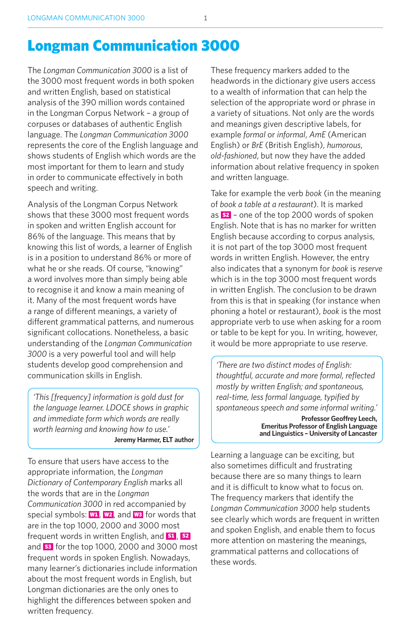# Longman Communication 3000

The *Longman Communication 3000* is a list of the 3000 most frequent words in both spoken and written English, based on statistical analysis of the 390 million words contained in the Longman Corpus Network – a group of corpuses or databases of authentic English language. The *Longman Communication 3000* represents the core of the English language and shows students of English which words are the most important for them to learn and study in order to communicate effectively in both speech and writing.

Analysis of the Longman Corpus Network shows that these 3000 most frequent words in spoken and written English account for 86% of the language. This means that by knowing this list of words, a learner of English is in a position to understand 86% or more of what he or she reads. Of course, "knowing" a word involves more than simply being able to recognise it and know a main meaning of it. Many of the most frequent words have a range of different meanings, a variety of different grammatical patterns, and numerous significant collocations. Nonetheless, a basic understanding of the *Longman Communication 3000* is a very powerful tool and will help students develop good comprehension and communication skills in English.

*'This [frequency] information is gold dust for the language learner. LDOCE shows in graphic and immediate form which words are really worth learning and knowing how to use.'*  **Jeremy Harmer, ELT author**

To ensure that users have access to the appropriate information, the *Longman Dictionary of Contemporary English* marks all the words that are in the *Longman Communication 3000* in red accompanied by special symbols: **,**  $**W2**$ **, and**  $**W3**$  **for words that** are in the top 1000, 2000 and 3000 most frequent words in written English, and **S1**, **S2** and **S3** for the top 1000, 2000 and 3000 most frequent words in spoken English. Nowadays, many learner's dictionaries include information about the most frequent words in English, but Longman dictionaries are the only ones to highlight the differences between spoken and written frequency.

These frequency markers added to the headwords in the dictionary give users access to a wealth of information that can help the selection of the appropriate word or phrase in a variety of situations. Not only are the words and meanings given descriptive labels, for example *formal* or *informal*, *AmE* (American English) or *BrE* (British English), *humorous*, *old-fashioned*, but now they have the added information about relative frequency in spoken and written language.

Take for example the verb *book* (in the meaning of *book a table at a restaurant*). It is marked as  $s<sup>2</sup>$  – one of the top 2000 words of spoken English. Note that is has no marker for written English because according to corpus analysis, it is not part of the top 3000 most frequent words in written English. However, the entry also indicates that a synonym for *book* is *reserve* which is in the top 3000 most frequent words in written English. The conclusion to be drawn from this is that in speaking (for instance when phoning a hotel or restaurant), *book* is the most appropriate verb to use when asking for a room or table to be kept for you. In writing, however, it would be more appropriate to use *reserve*.

*'There are two distinct modes of English: thoughtful, accurate and more formal, reflected mostly by written English; and spontaneous, real-time, less formal language, typified by spontaneous speech and some informal writing.'*

> **Professor Geoffrey Leech, Emeritus Professor of English Language and Linguistics – University of Lancaster**

Learning a language can be exciting, but also sometimes difficult and frustrating because there are so many things to learn and it is difficult to know what to focus on. The frequency markers that identify the *Longman Communication 3000* help students see clearly which words are frequent in written and spoken English, and enable them to focus more attention on mastering the meanings, grammatical patterns and collocations of these words.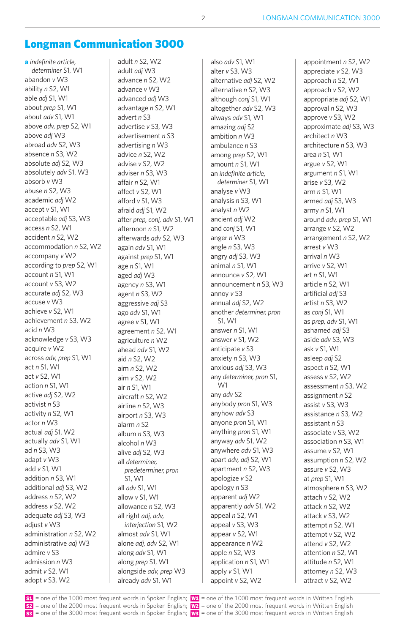# Longman Communication 3000

**a** *indefinite article, determiner* S1, W1 abandon *v* W3 ability *n* S2, W1 able *adj* S1, W1 about *prep* S1, W1 about *adv* S1, W1 above *adv, prep* S2, W1 above *adj* W3 abroad *adv* S2, W3 absence *n* S3, W2 absolute *adj* S2, W3 absolutely *adv* S1, W3 absorb *v* W3 abuse *n* S2, W3 academic *adj* W2 accept *v* S1, W1 acceptable *adj* S3, W3 access *n* S2, W1 accident *n* S2, W2 accommodation *n* S2, W2 accompany *v* W2 according to *prep* S2, W1 account *n* S1, W1 account *v* S3, W2 accurate *adj* S2, W3 accuse *v* W3 achieve *v* S2, W1 achievement *n* S3, W2 acid *n* W3 acknowledge *v* S3, W3 acquire *v* W2 across *adv, prep* S1, W1 act *n* S1, W1 act *v* S2, W1 action *n* S1, W1 active *adj* S2, W2 activist *n* S3 activity *n* S2, W1 actor *n* W3 actual *adj* S1, W2 actually *adv* S1, W1 ad *n* S3, W3 adapt *v* W3 add *v* S1, W1 addition *n* S3, W1 additional *adj* S3, W2 address *n* S2, W2 address *v* S2, W2 adequate *adj* S3, W3 adjust *v* W3 administration *n* S2, W2 administrative *adj* W3 admire *v* S3 admission *n* W3 admit *v* S2, W1 adopt *v* S3, W2

adult *n* S2, W2 adult *adj* W3 advance *n* S2, W2 advance *v* W3 advanced *adj* W3 advantage *n* S2, W1 advert *n* S3 advertise *v* S3, W3 advertisement *n* S3 advertising *n* W3 advice *n* S2, W2 advise *v* S2, W2 adviser *n* S3, W3 affair *n* S2, W1 affect *v* S2, W1 afford *v* S1, W3 afraid *adj* S1, W2 after *prep, conj, adv* S1, W1 afternoon *n* S1, W2 afterwards *adv* S2, W3 again *adv* S1, W1 against *prep* S1, W1 age *n* S1, W1 aged *adj* W3 agency *n* S3, W1 agent *n* S3, W2 aggressive *adj* S3 ago *adv* S1, W1 agree *v* S1, W1 agreement *n* S2, W1 agriculture *n* W2 ahead *adv* S1, W2 aid *n* S2, W2 aim *n* S2, W2 aim *v* S2, W2 air *n* S1, W1 aircraft *n* S2, W2 airline *n* S2, W3 airport *n* S3, W3 alarm *n* S2 album *n* S3, W3 alcohol *n* W3 alive *adj* S2, W3 all *determiner, predeterminer, pron*  S1, W1 all *adv* S1, W1 allow *v* S1, W1 allowance *n* S2, W3 all right *adj, adv, interjection* S1, W2 almost *adv* S1, W1 alone *adj, adv* S2, W1 along *adv* S1, W1 along *prep* S1, W1 alongside *adv, prep* W3 already *adv* S1, W1

also *adv* S1, W1 alter *v* S3, W3 alternative *adj* S2, W2 alternative *n* S2, W3 although *conj* S1, W1 altogether *adv* S2, W3 always *adv* S1, W1 amazing *adj* S2 ambition *n* W3 ambulance *n* S3 among *prep* S2, W1 amount *n* S1, W1 an *indefinite article, determiner* S1, W1 analyse *v* W3 analysis *n* S3, W1 analyst *n* W2 ancient *adj* W2 and *conj* S1, W1 anger *n* W3 angle *n* S3, W3 angry *adj* S3, W3 animal *n* S1, W1 announce *v* S2, W1 announcement *n* S3, W3 annoy *v* S3 annual *adj* S2, W2 another *determiner, pron*  S1, W1 answer *n* S1, W1 answer *v* S1, W2 anticipate *v* S3 anxiety *n* S3, W3 anxious *adj* S3, W3 any *determiner, pron* S1, W1 any *adv* S2 anybody *pron* S1, W3 anyhow *adv* S3 anyone *pron* S1, W1 anything *pron* S1, W1 anyway *adv* S1, W2 anywhere *adv* S1, W3 apart *adv, adj* S2, W1 apartment *n* S2, W3 apologize *v* S2 apology *n* S3 apparent *adj* W2 apparently *adv* S1, W2 appeal *n* S2, W1 appeal *v* S3, W3 appear *v* S2, W1 appearance *n* W2 apple *n* S2, W3 application *n* S1, W1 apply *v* S1, W1 appoint *v* S2, W2

appointment *n* S2, W2 appreciate *v* S2, W3 approach *n* S2, W1 approach *v* S2, W2 appropriate *adj* S2, W1 approval *n* S2, W3 approve *v* S3, W2 approximate *adj* S3, W3 architect *n* W3 architecture *n* S3, W3 area *n* S1, W1 argue *v* S2, W1 argument *n* S1, W1 arise *v* S3, W2 arm *n* S1, W1 armed *adj* S3, W3 army *n* S1, W1 around *adv, prep* S1, W1 arrange *v* S2, W2 arrangement *n* S2, W2 arrest *v* W3 arrival *n* W3 arrive *v* S2, W1 art *n* S1, W1 article *n* S2, W1 artificial *adj* S3 artist *n* S3, W2 as *conj* S1, W1 as *prep, adv* S1, W1 ashamed *adj* S3 aside *adv* S3, W3 ask *v* S1, W1 asleep *adj* S2 aspect *n* S2, W1 assess *v* S2, W2 assessment *n* S3, W2 assignment *n* S2 assist *v* S3, W3 assistance *n* S3, W2 assistant *n* S3 associate *v* S3, W2 association *n* S3, W1 assume *v* S2, W1 assumption *n* S2, W2 assure *v* S2, W3 at *prep* S1, W1 atmosphere *n* S3, W2 attach *v* S2, W2 attack *n* S2, W2 attack *v* S3, W2 attempt *n* S2, W1 attempt *v* S2, W2 attend *v* S2, W2 attention *n* S2, W1 attitude *n* S2, W1 attorney *n* S2, W3 attract *v* S2, W2

S1 = one of the 1000 most frequent words in Spoken English; W1 = one of the 1000 most frequent words in Written English

S2 = one of the 2000 most frequent words in Spoken English; W<sub>2</sub> = one of the 2000 most frequent words in Written English S3 = one of the 3000 most frequent words in Spoken English; W8 = one of the 3000 most frequent words in Written English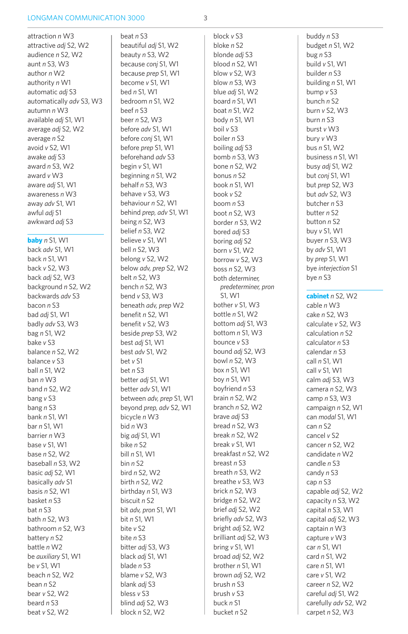# LONGMAN COMMUNICATION 3000

beat *n* S3

attraction *n* W3 attractive *adj* S2, W2 audience *n* S2, W2 aunt *n* S3, W3 author *n* W2 authority *n* W1 automatic *adj* S3 automatically *adv* S3, W3 autumn *n* W3 available *adj* S1, W1 average *adj* S2, W2 average *n* S2 avoid *v* S2, W1 awake *adj* S3 award *n* S3, W2 award *v* W3 aware *adj* S1, W1 awareness *n* W3 away *adv* S1, W1 awful *adj* S1 awkward *adj* S3

**baby** *n* S1, W1

back *adv* S1, W1 back *n* S1, W1 back *v* S2, W3 back *adj* S2, W3 background *n* S2, W2 backwards *adv* S3 bacon *n* S3 bad *adj* S1, W1 badly *adv* S3, W3 bag *n* S1, W2 bake *v* S3 balance *n* S2, W2 balance *v* S3 ball *n* S1, W2 ban *n* W3 band *n* S2, W2 bang *v* S3 bang *n* S3 bank *n* S1, W1 bar *n* S1, W1 barrier *n* W3 base *v* S1, W1 base *n* S2, W2 baseball *n* S3, W2 basic *adj* S2, W1 basically *adv* S1 basis *n* S2, W1 basket *n* S3 bat *n* S3 bath *n* S2, W3 bathroom *n* S2, W3 battery *n* S2 battle *n* W2 be *auxiliary* S1, W1 be *v* S1, W1 beach *n* S2, W2 bean *n* S2 bear *v* S2, W2 beard *n* S3 beat *v* S2, W2

beautiful *adj* S1, W2 beauty *n* S3, W2 because *conj* S1, W1 because *prep* S1, W1 become *v* S1, W1 bed *n* S1, W1 bedroom *n* S1, W2 beef *n* S3 beer *n* S2, W3 before *adv* S1, W1 before *conj* S1, W1 before *prep* S1, W1 beforehand *adv* S3 begin *v* S1, W1 beginning *n* S1, W2 behalf *n* S3, W3 behave *v* S3, W3 behaviour *n* S2, W1 behind *prep, adv* S1, W1 being *n* S2, W3 belief *n* S3, W2 believe *v* S1, W1 bell *n* S2, W3 belong *v* S2, W2 below *adv, prep* S2, W2 belt *n* S2, W3 bench *n* S2, W3 bend *v* S3, W3 beneath *adv, prep* W2 benefit *n* S2, W1 benefit *v* S2, W3 beside *prep* S3, W2 best *adj* S1, W1 best *adv* S1, W2 bet *v* S1 bet *n* S3 better *adj* S1, W1 better *adv* S1, W1 between *adv, prep* S1, W1 beyond *prep, adv* S2, W1 bicycle *n* W3 bid *n* W3 big *adj* S1, W1 bike *n* S2 bill *n* S1, W1 bin *n* S2 bird *n* S2, W2 birth *n* S2, W2 birthday *n* S1, W3 biscuit *n* S2 bit *adv, pron* S1, W1 bit *n* S1, W1 bite *v* S2 bite *n* S3 bitter *adj* S3, W3 black *adj* S1, W1 blade *n* S3 blame *v* S2, W3 blank *adj* S3 bless *v* S3 blind *adj* S2, W3 block *n* S2, W2

block *v* S3 bloke *n* S2 blonde *adj* S3 blood *n* S2, W1 blow *v* S2, W3 blow *n* S3, W3 blue *adj* S1, W2 board *n* S1, W1 boat *n* S1, W2 body *n* S1, W1 boil *v* S3 boiler *n* S3 boiling *adj* S3 bomb *n* S3, W3 bone *n* S2, W2 bonus *n* S2 book *n* S1, W1 book *v* S2 boom *n* S3 boot *n* S2, W3 border *n* S3, W2 bored *adj* S3 boring *adj* S2 born *v* S1, W2 borrow *v* S2, W3 boss *n* S2, W3 both *determiner, predeterminer, pron*  S1, W1 bother *v* S1, W3 bottle *n* S1, W2 bottom *adj* S1, W3 bottom *n* S1, W3 bounce *v* S3 bound *adj* S2, W3 bowl *n* S2, W3 box *n* S1, W1 boy *n* S1, W1 boyfriend *n* S3 brain *n* S2, W2 branch *n* S2, W2 brave *adj* S3 bread *n* S2, W3 break *n* S2, W2 break *v* S1, W1 breakfast *n* S2, W2 breast *n* S3 breath *n* S3, W2 breathe *v* S3, W3 brick *n* S2, W3 bridge *n* S2, W2 brief *adj* S2, W2 briefly *adv* S2, W3 bright *adj* S2, W2 brilliant *adj* S2, W3 bring *v* S1, W1 broad *adj* S2, W2 brother *n* S1, W1 brown *adj* S2, W2 brush *n* S3 brush *v* S3 buck *n* S1 bucket *n* S2

buddy *n* S3 budget *n* S1, W2 bug *n* S3 build *v* S1, W1 builder *n* S3 building *n* S1, W1 bump *v* S3 bunch *n* S2 burn *v* S2, W3 burn *n* S3 burst *v* W3 bury *v* W3 bus *n* S1, W2 business *n* S1, W1 busy *adj* S1, W2 but *conj* S1, W1 but *prep* S2, W3 but *adv* S2, W3 butcher *n* S3 butter *n* S2 button *n* S2 buy *v* S1, W1 buyer *n* S3, W3 by *adv* S1, W1 by *prep* S1, W1 bye *interjection* S1 bye *n* S3

**cabinet** *n* S2, W2 cable *n* W3 cake *n* S2, W3 calculate *v* S2, W3 calculation *n* S2 calculator *n* S3 calendar *n* S3 call *n* S1, W1 call *v* S1, W1 calm *adj* S3, W3 camera *n* S2, W3 camp *n* S3, W3 campaign *n* S2, W1 can *modal* S1, W1 can *n* S2 cancel *v* S2 cancer *n* S2, W2 candidate *n* W2 candle *n* S3 candy *n* S3 cap *n* S3 capable *adj* S2, W2 capacity *n* S3, W2 capital *n* S3, W1 capital *adj* S2, W3 captain *n* W3 capture *v* W3 car *n* S1, W1 card *n* S1, W2 care *n* S1, W1 care *v* S1, W2 career *n* S2, W2 careful *adj* S1, W2 carefully *adv* S2, W2 carpet *n* S2, W3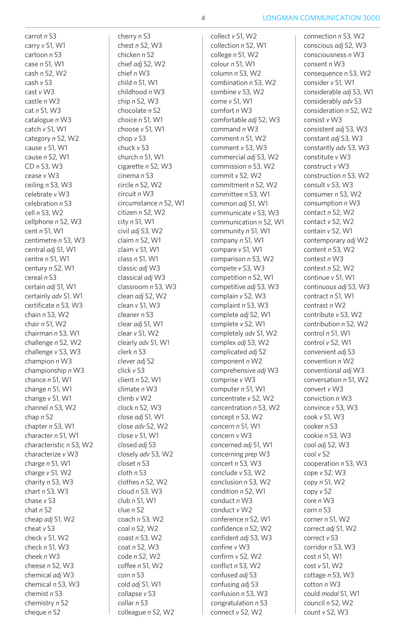carrot *n* S3 carry *v* S1, W1 cartoon *n* S3 case *n* S1, W1 cash *n* S2, W2 cash *v* S3 cast *v* W3 castle *n* W3 cat *n* S1, W3 catalogue *n* W3 catch *v* S1, W1 category *n* S2, W2 cause *v* S1, W1 cause *n* S2, W1 CD *n* S3, W3 cease *v* W3 ceiling *n* S3, W3 celebrate *v* W3 celebration *n* S3 cell *n* S3, W2 cellphone *n* S2, W3 cent *n* S1, W1 centimetre *n* S3, W3 central *adj* S1, W1 centre *n* S1, W1 century *n* S2, W1 cereal *n* S3 certain *adj* S1, W1 certainly *adv* S1, W1 certificate *n* S3, W3 chain *n* S3, W2 chair *n* S1, W2 chairman *n* S3, W1 challenge *n* S2, W2 challenge *v* S3, W3 champion *n* W3 championship *n* W3 chance *n* S1, W1 change *n* S1, W1 change *v* S1, W1 channel *n* S3, W2 chap *n* S2 chapter *n* S3, W1 character *n* S1, W1 characteristic *n* S3, W2 characterize *v* W3 charge *n* S1, W1 charge *v* S1, W2 charity *n* S3, W3 chart *n* S3, W3 chase *v* S3 chat *n* S2 cheap *adj* S1, W2 cheat *v* S3 check *v* S1, W2 check *n* S1, W3 cheek *n* W3 cheese *n* S2, W3 chemical *adj* W3 chemical *n* S3, W3 chemist *n* S3 chemistry *n* S2

cheque *n* S2

cherry *n* S3 chest *n* S2, W3 chicken *n* S2 chief *adj* S2, W2 chief *n* W3 child *n* S1, W1 childhood *n* W3 chip *n* S2, W3 chocolate *n* S2 choice *n* S1, W1 choose *v* S1, W1 chop *v* S3 chuck *v* S3 church *n* S1, W1 cigarette *n* S2, W3 cinema *n* S3 circle *n* S2, W2 circuit *n* W3 circumstance *n* S2, W1 citizen *n* S2, W2 city *n* S1, W1 civil *adj* S3, W2 claim *n* S2, W1 claim *v* S1, W1 class *n* S1, W1 classic *adj* W3 classical *adj* W3 classroom *n* S3, W3 clean *adj* S2, W2 clean *v* S1, W3 cleaner *n* S3 clear *adj* S1, W1 clear *v* S1, W2 clearly *adv* S1, W1 clerk *n* S3 clever *adj* S2 click *v* S3 client *n* S2, W1 climate *n* W3 climb *v* W2 clock *n* S2, W3 close *adj* S1, W1 close *adv* S2, W2 close *v* S1, W1 closed *adj* S3 closely *adv* S3, W2 closet *n* S3 cloth *n* S3 clothes *n* S2, W2 cloud *n* S3, W3 club *n* S1, W1 clue *n* S2 coach *n* S3, W2 coal *n* S2, W2 coast *n* S3, W2 coat *n* S2, W3 code *n* S2, W2 coffee *n* S1, W2 coin *n* S3 cold *adj* S1, W1 collapse *v* S3 collar *n* S3 colleague *n* S2, W2

collect *v* S1, W2 collection *n* S2, W1 college *n* S1, W2 colour *n* S1, W1 column *n* S3, W2 combination *n* S3, W2 combine *v* S3, W2 come *v* S1, W1 comfort *n* W3 comfortable *adj* S2, W3 command *n* W3 comment *n* S1, W2 comment *v* S3, W3 commercial *adj* S3, W2 commission *n* S3, W2 commit *v* S2, W2 commitment *n* S2, W2 committee *n* S3, W1 common *adj* S1, W1 communicate *v* S3, W3 communication *n* S2, W1 community *n* S1, W1 company *n* S1, W1 compare *v* S1, W1 comparison *n* S3, W2 compete *v* S3, W3 competition *n* S2, W1 competitive *adj* S3, W3 complain *v* S2, W3 complaint *n* S3, W3 complete *adj* S2, W1 complete *v* S2, W1 completely *adv* S1, W2 complex *adj* S3, W2 complicated *adj* S2 component *n* W2 comprehensive *adj* W3 comprise *v* W3 computer *n* S1, W1 concentrate *v* S2, W2 concentration *n* S3, W2 concept *n* S3, W2 concern *n* S1, W1 concern *v* W3 concerned *adj* S1, W1 concerning *prep* W3 concert *n* S3, W3 conclude *v* S3, W2 conclusion *n* S3, W2 condition *n* S2, W1 conduct *n* W3 conduct *v* W2 conference *n* S2, W1 confidence *n* S2, W2 confident *adj* S3, W3 confine *v* W3 confirm *v* S2, W2 conflict *n* S3, W2 confused *adj* S3 confusing *adj* S3 confusion *n* S3, W3 congratulation *n* S3 connect *v* S2, W2

# 4 LONGMAN COMMUNICATION 3000

connection *n* S3, W2 conscious *adj* S2, W3 consciousness *n* W3 consent *n* W3 consequence *n* S3, W2 consider *v* S1, W1 considerable *adj* S3, W1 considerably *adv* S3 consideration *n* S2, W2 consist *v* W3 consistent *adj* S3, W3 constant *adj* S3, W3 constantly *adv* S3, W3 constitute *v* W3 construct *v* W3 construction *n* S3, W2 consult *v* S3, W3 consumer *n* S3, W2 consumption *n* W3 contact *n* S2, W2 contact *v* S2, W2 contain *v* S2, W1 contemporary *adj* W2 content *n* S3, W2 contest *n* W3 context *n* S2, W2 continue *v* S1, W1 continuous *adj* S3, W3 contract *n* S1, W1 contrast *n* W2 contribute *v* S3, W2 contribution *n* S2, W2 control *n* S1, W1 control *v* S2, W1 convenient *adj* S3 convention *n* W2 conventional *adj* W3 conversation *n* S1, W2 convert *v* W3 conviction *n* W3 convince *v* S3, W3 cook *v* S1, W3 cooker *n* S3 cookie *n* S3, W3 cool *adj* S2, W3 cool *v* S2 cooperation *n* S3, W3 cope *v* S2, W3 copy *n* S1, W2 copy *v* S2 core *n* W3 corn *n* S3 corner *n* S1, W2 correct *adj* S1, W2 correct *v* S3 corridor *n* S3, W3 cost *n* S1, W1 cost *v* S1, W2 cottage *n* S3, W3 cotton *n* W3 could *modal* S1, W1 council *n* S2, W2 count *v* S2, W3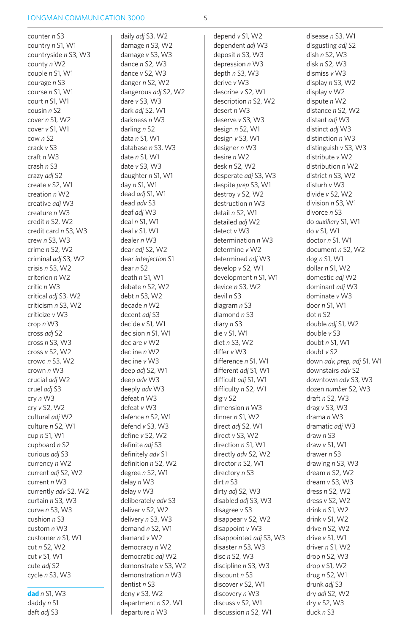counter *n* S3 country *n* S1, W1 countryside *n* S3, W3 county *n* W2 couple *n* S1, W1 courage *n* S3 course *n* S1, W1 court *n* S1, W1 cousin *n* S2 cover *n* S1, W2 cover *v* S1, W1 cow *n* S2 crack *v* S3 craft *n* W3 crash *n* S3 crazy *adj* S2 create *v* S2, W1 creation *n* W2 creative *adj* W3 creature *n* W3 credit *n* S2, W2 credit card *n* S3, W3 crew *n* S3, W3 crime *n* S2, W2 criminal *adj* S3, W2 crisis *n* S3, W2 criterion *n* W2 critic *n* W3 critical *adj* S3, W2 criticism *n* S3, W2 criticize *v* W3 crop *n* W3 cross *adj* S2 cross *n* S3, W3 cross *v* S2, W2 crowd *n* S3, W2 crown *n* W3 crucial *adj* W2 cruel *adj* S3 cry *n* W3 cry *v* S2, W2 cultural *adj* W2 culture *n* S2, W1 cup *n* S1, W1 cupboard *n* S2 curious *adj* S3 currency *n* W2 current *adj* S2, W2 current *n* W3 currently *adv* S2, W2 curtain *n* S3, W3 curve *n* S3, W3 cushion *n* S3 custom *n* W3 customer *n* S1, W1 cut *n* S2, W2 cut *v* S1, W1 cute *adj* S2 cycle *n* S3, W3

**dad** *n* S1, W3 daddy *n* S1 daft *adj* S3

daily *adj* S3, W2 damage *n* S3, W2 damage *v* S3, W3 dance *n* S2, W3 dance *v* S2, W3 danger *n* S2, W2 dangerous *adj* S2, W2 dare *v* S3, W3 dark *adj* S2, W1 darkness *n* W3 darling *n* S2 data *n* S1, W1 database *n* S3, W3 date *n* S1, W1 date *v* S3, W3 daughter *n* S1, W1 day *n* S1, W1 dead *adj* S1, W1 dead *adv* S3 deaf *adj* W3 deal *n* S1, W1 deal *v* S1, W1 dealer *n* W3 dear *adj* S2, W2 dear *interjection* S1 dear *n* S2 death *n* S1, W1 debate *n* S2, W2 debt *n* S3, W2 decade *n* W2 decent *adj* S3 decide *v* S1, W1 decision *n* S1, W1 declare *v* W2 decline *n* W2 decline *v* W3 deep *adj* S2, W1 deep *adv* W3 deeply *adv* W3 defeat *n* W3 defeat *v* W3 defence *n* S2, W1 defend *v* S3, W3 define *v* S2, W2 definite *adj* S3 definitely *adv* S1 definition *n* S2, W2 degree *n* S2, W1 delay *n* W3 delay *v* W3 deliberately *adv* S3 deliver *v* S2, W2 delivery *n* S3, W3 demand *n* S2, W1 demand *v* W2 democracy *n* W2 democratic *adj* W2 demonstrate *v* S3, W2 demonstration *n* W3 dentist *n* S3 deny *v* S3, W2 department *n* S2, W1 departure *n* W3

depend *v* S1, W2 dependent *adj* W3 deposit *n* S3, W3 depression *n* W3 depth *n* S3, W3 derive *v* W3 describe *v* S2, W1 description *n* S2, W2 desert *n* W3 deserve *v* S3, W3 design *n* S2, W1 design *v* S3, W1 designer *n* W3 desire *n* W2 desk *n* S2, W2 desperate *adj* S3, W3 despite *prep* S3, W1 destroy *v* S2, W2 destruction *n* W3 detail *n* S2, W1 detailed *adj* W2 detect *v* W3 determination *n* W3 determine *v* W2 determined *adj* W3 develop *v* S2, W1 development *n* S1, W1 device *n* S3, W2 devil *n* S3 diagram *n* S3 diamond *n* S3 diary *n* S3 die *v* S1, W1 diet *n* S3, W2 differ *v* W3 difference *n* S1, W1 different *adj* S1, W1 difficult *adj* S1, W1 difficulty *n* S2, W1 dig *v* S2 dimension *n* W3 dinner *n* S1, W2 direct *adj* S2, W1 direct *v* S3, W2 direction *n* S1, W1 directly *adv* S2, W2 director *n* S2, W1 directory *n* S3 dirt *n* S3 dirty *adj* S2, W3 disabled *adj* S3, W3 disagree *v* S3 disappear *v* S2, W2 disappoint *v* W3 disappointed *adj* S3, W3 disaster *n* S3, W3 disc *n* S2, W3 discipline *n* S3, W3 discount *n* S3 discover *v* S2, W1 discovery *n* W3 discuss *v* S2, W1 discussion *n* S2, W1

disease *n* S3, W1 disgusting *adj* S2 dish *n* S2, W3 disk *n* S2, W3 dismiss *v* W3 display *n* S3, W2 display *v* W2 dispute *n* W2 distance *n* S2, W2 distant *adj* W3 distinct *adj* W3 distinction *n* W3 distinguish *v* S3, W3 distribute *v* W2 distribution *n* W2 district *n* S3, W2 disturb *v* W3 divide *v* S2, W2 division *n* S3, W1 divorce *n* S3 do *auxiliary* S1, W1 do *v* S1, W1 doctor *n* S1, W1 document *n* S2, W2 dog *n* S1, W1 dollar *n* S1, W2 domestic *adj* W2 dominant *adj* W3 dominate *v* W3 door *n* S1, W1 dot *n* S2 double *adj* S1, W2 double *v* S3 doubt *n* S1, W1 doubt *v* S2 down *adv, prep, adj* S1, W1 downstairs *adv* S2 downtown *adv* S3, W3 dozen *number* S2, W3 draft *n* S2, W3 drag *v* S3, W3 drama *n* W3 dramatic *adj* W3 draw *n* S3 draw *v* S1, W1 drawer *n* S3 drawing *n* S3, W3 dream *n* S2, W2 dream *v* S3, W3 dress *n* S2, W2 dress *v* S2, W2 drink *n* S1, W2 drink *v* S1, W2 drive *n* S2, W2 drive *v* S1, W1 driver *n* S1, W2 drop *n* S2, W3 drop *v* S1, W2 drug *n* S2, W1 drunk *adj* S3 dry *adj* S2, W2 dry *v* S2, W3 duck *n* S3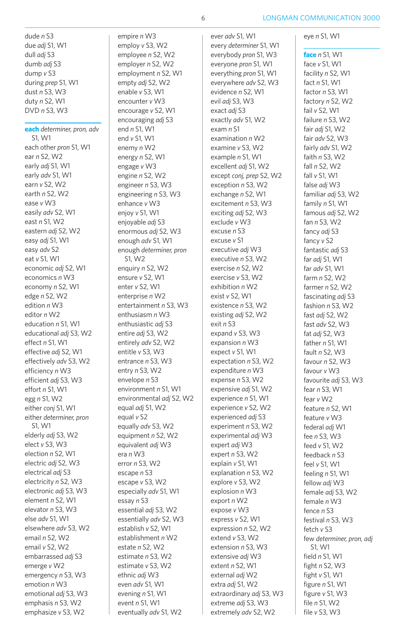dude *n* S3 due *adj* S1, W1 dull *adj* S3 dumb *adj* S3 dump *v* S3 during *prep* S1, W1 dust *n* S3, W3 duty *n* S2, W1 DVD *n* S3, W3

**each** *determiner, pron, adv*  S1, W1 each other *pron* S1, W1 ear *n* S2, W2 early *adj* S1, W1 early *adv* S1, W1 earn *v* S2, W2 earth *n* S2, W2 ease *v* W3 easily *adv* S2, W1 east *n* S1, W2 eastern *adj* S2, W2 easy *adj* S1, W1 easy *adv* S2 eat *v* S1, W1 economic *adj* S2, W1 economics *n* W3 economy *n* S2, W1 edge *n* S2, W2 edition *n* W3 editor *n* W2 education *n* S1, W1 educational *adj* S3, W2 effect *n* S1, W1 effective *adj* S2, W1 effectively *adv* S3, W2 efficiency *n* W3 efficient *adj* S3, W3 effort *n* S1, W1 egg *n* S1, W2 either *conj* S1, W1 either *determiner, pron*  S1, W1 elderly *adj* S3, W2 elect *v* S3, W3 election *n* S2, W1 electric *adj* S2, W3 electrical *adj* S3 electricity *n* S2, W3 electronic *adj* S3, W3 element *n* S2, W1 elevator *n* S3, W3 else *adv* S1, W1 elsewhere *adv* S3, W2 email *n* S2, W2 email *v* S2, W2 embarrassed *adj* S3 emerge *v* W2 emergency *n* S3, W3 emotion *n* W3 emotional *adj* S3, W3 emphasis *n* S3, W2 emphasize *v* S3, W2

empire *n* W3 employ *v* S3, W2 employee *n* S2, W2 employer *n* S2, W2 employment *n* S2, W1 empty *adj* S2, W2 enable *v* S3, W1 encounter *v* W3 encourage *v* S2, W1 encouraging *adj* S3 end *n* S1, W1 end *v* S1, W1 enemy *n* W2 energy *n* S2, W1 engage *v* W3 engine *n* S2, W2 engineer *n* S3, W3 engineering *n* S3, W3 enhance *v* W3 enjoy *v* S1, W1 enjoyable *adj* S3 enormous *adj* S2, W3 enough *adv* S1, W1 enough *determiner, pron*  S1, W2 enquiry *n* S2, W2 ensure *v* S2, W1 enter *v* S2, W1 enterprise *n* W2 entertainment *n* S3, W3 enthusiasm *n* W3 enthusiastic *adj* S3 entire *adj* S3, W2 entirely *adv* S2, W2 entitle *v* S3, W3 entrance *n* S3, W3 entry *n* S3, W2 envelope *n* S3 environment *n* S1, W1 environmental *adj* S2, W2 equal *adj* S1, W2 equal *v* S2 equally *adv* S3, W2 equipment *n* S2, W2 equivalent *adj* W3 era *n* W3 error *n* S3, W2 escape *n* S3 escape *v* S3, W2 especially *adv* S1, W1 essay *n* S3 essential *adj* S3, W2 essentially *adv* S2, W3 establish *v* S2, W1 establishment *n* W2 estate *n* S2, W2 estimate *n* S3, W2 estimate *v* S3, W2 ethnic *adj* W3 even *adv* S1, W1 evening *n* S1, W1 event *n* S1, W1 eventually *adv* S1, W2

ever *adv* S1, W1 every *determiner* S1, W1 everybody *pron* S1, W3 everyone *pron* S1, W1 everything *pron* S1, W1 everywhere *adv* S2, W3 evidence *n* S2, W1 evil *adj* S3, W3 exact *adj* S3 exactly *adv* S1, W2 exam *n* S1 examination *n* W2 examine *v* S3, W2 example *n* S1, W1 excellent *adj* S1, W2 except *conj, prep* S2, W2 exception *n* S3, W2 exchange *n* S2, W1 excitement *n* S3, W3 exciting *adj* S2, W3 exclude *v* W3 excuse *n* S3 excuse *v* S1 executive *adj* W3 executive *n* S3, W2 exercise *n* S2, W2 exercise *v* S3, W2 exhibition *n* W2 exist *v* S2, W1 existence *n* S3, W2 existing *adj* S2, W2 exit *n* S3 expand *v* S3, W3 expansion *n* W3 expect *v* S1, W1 expectation *n* S3, W2 expenditure *n* W3 expense *n* S3, W2 expensive *adj* S1, W2 experience *n* S1, W1 experience *v* S2, W2 experienced *adj* S3 experiment *n* S3, W2 experimental *adj* W3 expert *adj* W3 expert *n* S3, W2 explain *v* S1, W1 explanation *n* S3, W2 explore *v* S3, W2 explosion *n* W3 export *n* W2 expose *v* W3 express *v* S2, W1 expression *n* S2, W2 extend *v* S3, W2 extension *n* S3, W3 extensive *adj* W3 extent *n* S2, W1 external *adj* W2 extra *adj* S1, W2 extraordinary *adj* S3, W3 extreme *adj* S3, W3 extremely *adv* S2, W2

# 6 LONGMAN COMMUNICATION 3000

eye *n* S1, W1

**face** *n* S1, W1 face *v* S1, W1 facility *n* S2, W1 fact *n* S1, W1 factor *n* S3, W1 factory *n* S2, W2 fail *v* S2, W1 failure *n* S3, W2 fair *adj* S1, W2 fair *adv* S2, W3 fairly *adv* S1, W2 faith *n* S3, W2 fall *n* S2, W2 fall *v* S1, W1 false *adj* W3 familiar *adj* S3, W2 family *n* S1, W1 famous *adj* S2, W2 fan *n* S3, W2 fancy *adj* S3 fancy *v* S2 fantastic *adj* S3 far *adj* S1, W1 far *adv* S1, W1 farm *n* S2, W2 farmer *n* S2, W2 fascinating *adj* S3 fashion *n* S3, W2 fast *adj* S2, W2 fast *adv* S2, W3 fat *adj* S2, W3 father *n* S1, W1 fault *n* S2, W3 favour *n* S2, W3 favour *v* W3 favourite *adj* S3, W3 fear *n* S3, W1 fear *v* W2 feature *n* S2, W1 feature *v* W3 federal *adj* W1 fee *n* S3, W3 feed *v* S1, W2 feedback *n* S3 feel *v* S1, W1 feeling *n* S1, W1 fellow *adj* W3 female *adj* S3, W2 female *n* W3 fence *n* S3 festival *n* S3, W3 fetch *v* S3 few *determiner, pron, adj*  S1, W1 field *n* S1, W1 fight *n* S2, W3 fight *v* S1, W1 figure *n* S1, W1 figure *v* S1, W3 file *n* S1, W2 file *v* S3, W3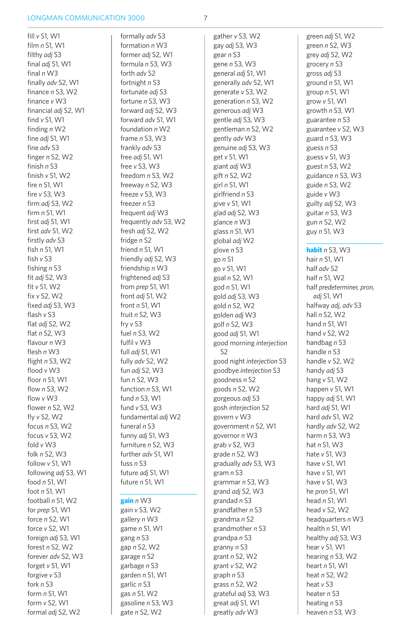fill *v* S1, W1 film *n* S1, W1 filthy *adj* S3 final *adj* S1, W1 final *n* W3 finally *adv* S2, W1 finance *n* S3, W2 finance *v* W3 financial *adj* S2, W1 find *v* S1, W1 finding *n* W2 fine *adj* S1, W1 fine *adv* S3 finger *n* S2, W2 finish *n* S3 finish *v* S1, W2 fire *n* S1, W1 fire *v* S3, W3 firm *adj* S3, W2 firm *n* S1, W1 first *adj* S1, W1 first *adv* S1, W2 firstly *adv* S3 fish *n* S1, W1 fish *v* S3 fishing *n* S3 fit *adj* S2, W3 fit *v* S1, W2 fix *v* S2, W2 fixed *adj* S3, W3 flash *v* S3 flat *adj* S2, W2 flat *n* S2, W3 flavour *n* W3 flesh *n* W3 flight *n* S3, W2 flood *v* W3 floor *n* S1, W1 flow *n* S3, W2 flow *v* W3 flower *n* S2, W2 fly *v* S2, W2 focus *n* S3, W2 focus *v* S3, W2 fold *v* W3 folk *n* S2, W3 follow *v* S1, W1 following *adj* S3, W1 food *n* S1, W1 foot *n* S1, W1 football *n* S1, W2 for *prep* S1, W1 force *n* S2, W1 force *v* S2, W1 foreign *adj* S3, W1 forest *n* S2, W2 forever *adv* S2, W3 forget *v* S1, W1 forgive *v* S3 fork *n* S3 form *n* S1, W1 form *v* S2, W1 formal *adj* S2, W2

formally *adv* S3 formation *n* W3 former *adj* S2, W1 formula *n* S3, W3 forth *adv* S2 fortnight *n* S3 fortunate *adj* S3 fortune *n* S3, W3 forward *adj* S2, W3 forward *adv* S1, W1 foundation *n* W2 frame *n* S3, W3 frankly *adv* S3 free *adj* S1, W1 free *v* S3, W3 freedom *n* S3, W2 freeway *n* S2, W3 freeze *v* S3, W3 freezer *n* S3 frequent *adj* W3 frequently *adv* S3, W2 fresh *adj* S2, W2 fridge *n* S2 friend *n* S1, W1 friendly *adj* S2, W3 friendship *n* W3 frightened *adj* S3 from *prep* S1, W1 front *adj* S1, W2 front *n* S1, W1 fruit *n* S2, W3 fry *v* S3 fuel *n* S3, W2 fulfil *v* W3 full *adj* S1, W1 fully *adv* S2, W2 fun *adj* S2, W3 fun *n* S2, W3 function *n* S3, W1 fund *n* S3, W1 fund *v* S3, W3 fundamental *adj* W2 funeral *n* S3 funny *adj* S1, W3 furniture *n* S2, W3 further *adv* S1, W1 fuss *n* S3 future *adj* S1, W1 future *n* S1, W1

### **gain** *n* W3 gain *v* S3, W2

gallery *n* W3 game *n* S1, W1 gang *n* S3 gap *n* S2, W2 garage *n* S2 garbage *n* S3 garden *n* S1, W1 garlic *n* S3 gas *n* S1, W2 gasoline *n* S3, W3 gate *n* S2, W2

gather *v* S3, W2 gay *adj* S3, W3 gear *n* S3 gene *n* S3, W3 general *adj* S1, W1 generally *adv* S2, W1 generate *v* S3, W2 generation *n* S3, W2 generous *adj* W3 gentle *adj* S3, W3 gentleman *n* S2, W2 gently *adv* W3 genuine *adj* S3, W3 get *v* S1, W1 giant *adj* W3 gift *n* S2, W2 girl *n* S1, W1 girlfriend *n* S3 give *v* S1, W1 glad *adj* S2, W3 glance *n* W3 glass *n* S1, W1 global *adj* W2 glove *n* S3 go *n* S1 go *v* S1, W1 goal *n* S2, W1 god *n* S1, W1 gold *adj* S3, W3 gold *n* S2, W2 golden *adj* W3 golf *n* S2, W3 good *adj* S1, W1 good morning *interjection*   $52$ good night *interjection* S3 goodbye *interjection* S3 goodness *n* S2 goods *n* S2, W2 gorgeous *adj* S3 gosh *interjection* S2 govern *v* W3 government *n* S2, W1 governor *n* W3 grab *v* S2, W3 grade *n* S2, W3 gradually *adv* S3, W3 gram *n* S3 grammar *n* S3, W3 grand *adj* S2, W3 grandad *n* S3 grandfather *n* S3 grandma *n* S2 grandmother *n* S3 grandpa *n* S3 granny *n* S3 grant *n* S2, W2 grant *v* S2, W2 graph *n* S3 grass *n* S2, W2 grateful *adj* S3, W3 great *adj* S1, W1 greatly *adv* W3

green *adj* S1, W2 green *n* S2, W3 grey *adj* S2, W2 grocery *n* S3 gross *adj* S3 ground *n* S1, W1 group *n* S1, W1 grow *v* S1, W1 growth *n* S3, W1 guarantee *n* S3 guarantee *v* S2, W3 guard *n* S3, W3 guess *n* S3 guess *v* S1, W3 guest *n* S3, W2 guidance *n* S3, W3 guide *n* S3, W2 guide *v* W3 guilty *adj* S2, W3 guitar *n* S3, W3 gun *n* S2, W2 guy *n* S1, W3 **habit** *n* S3, W3 hair *n* S1, W1 half *adv* S2 half *n* S1, W2 half *predeterminer, pron, adj* S1, W1 halfway *adj, adv* S3 hall *n* S2, W2 hand *n* S1, W1 hand *v* S2, W2 handbag *n* S3 handle *n* S3 handle *v* S2, W2 handy *adj* S3 hang *v* S1, W2 happen *v* S1, W1 happy *adj* S1, W1 hard *adj* S1, W1 hard *adv* S1, W2 hardly *adv* S2, W2 harm *n* S3, W3 hat *n* S1, W3 hate *v* S1, W3 have *v* S1, W1 have *v* S1, W1 have *v* S1, W3 he *pron* S1, W1 head *n* S1, W1 head *v* S2, W2 headquarters *n* W3 health *n* S1, W1 healthy *adj* S3, W3 hear *v* S1, W1 hearing *n* S3, W2 heart *n* S1, W1 heat *n* S2, W2 heat *v* S3 heater *n* S3 heating *n* S3

heaven *n* S3, W3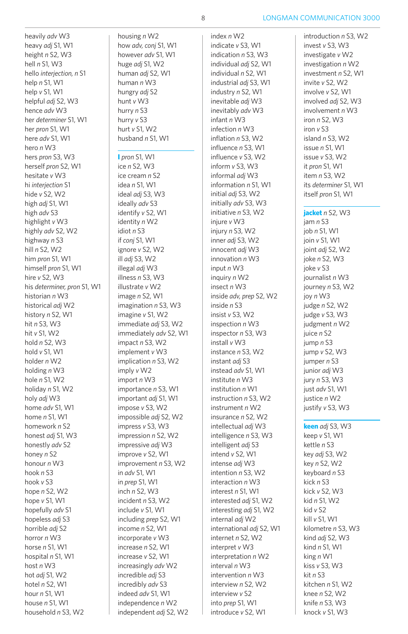heavily *adv* W3 heavy *adj* S1, W1 height *n* S2, W3 hell *n* S1, W3 hello *interjection, n* S1 help *n* S1, W1 help *v* S1, W1 helpful *adj* S2, W3 hence *adv* W3 her *determiner* S1, W1 her *pron* S1, W1 here *adv* S1, W1 hero *n* W3 hers *pron* S3, W3 herself *pron* S2, W1 hesitate *v* W3 hi *interjection* S1 hide *v* S2, W2 high *adj* S1, W1 high *adv* S3 highlight *v* W3 highly *adv* S2, W2 highway *n* S3 hill *n* S2, W2 him *pron* S1, W1 himself *pron* S1, W1 hire *v* S2, W3 his *determiner, pron* S1, W1 historian *n* W3 historical *adj* W2 history *n* S2, W1 hit *n* S3, W3 hit *v* S1, W2 hold *n* S2, W3 hold *v* S1, W1 holder *n* W2 holding *n* W3 hole *n* S1, W2 holiday *n* S1, W2 holy *adj* W3 home *adv* S1, W1 home *n* S1, W1 homework *n* S2 honest *adj* S1, W3 honestly *adv* S2 honey *n* S2 honour *n* W3 hook *n* S3 hook *v* S3 hope *n* S2, W2 hope *v* S1, W1 hopefully *adv* S1 hopeless *adj* S3 horrible *adj* S2 horror *n* W3 horse *n* S1, W1 hospital *n* S1, W1 host *n* W3 hot *adj* S1, W2 hotel *n* S2, W1 hour *n* S1, W1 house *n* S1, W1

household *n* S3, W2

housing *n* W2 how *adv, conj* S1, W1 however *adv* S1, W1 huge *adj* S1, W2 human *adj* S2, W1 human *n* W3 hungry *adj* S2 hunt *v* W3 hurry *n* S3 hurry *v* S3 hurt *v* S1, W2 husband *n* S1, W1 **I** *pron* S1, W1 ice *n* S2, W3 ice cream *n* S2 idea *n* S1, W1 ideal *adj* S3, W3 ideally *adv* S3 identify *v* S2, W1 identity *n* W2 idiot *n* S3 if *conj* S1, W1 ignore *v* S2, W2 ill *adj* S3, W2 illegal *adj* W3 illness *n* S3, W3 illustrate *v* W2 image *n* S2, W1 imagination *n* S3, W3 imagine *v* S1, W2 immediate *adj* S3, W2 immediately *adv* S2, W1 impact *n* S3, W2 implement *v* W3 implication *n* S3, W2 imply *v* W2 import *n* W3 importance *n* S3, W1 important *adj* S1, W1 impose *v* S3, W2 impossible *adj* S2, W2 impress *v* S3, W3 impression *n* S2, W2 impressive *adj* W3 improve *v* S2, W1 improvement *n* S3, W2 in *adv* S1, W1 in *prep* S1, W1 inch *n* S2, W3 incident *n* S3, W2 include *v* S1, W1 including *prep* S2, W1 income *n* S2, W1 incorporate *v* W3 increase *n* S2, W1 increase *v* S2, W1 increasingly *adv* W2 incredible *adj* S3 incredibly *adv* S3 indeed *adv* S1, W1 independence *n* W2

independent *adj* S2, W2

index *n* W2 indicate *v* S3, W1 indication *n* S3, W3 individual *adj* S2, W1 individual *n* S2, W1 industrial *adj* S3, W1 industry *n* S2, W1 inevitable *adj* W3 inevitably *adv* W3 infant *n* W3 infection *n* W3 inflation *n* S3, W2 influence *n* S3, W1 influence *v* S3, W2 inform *v* S3, W3 informal *adj* W3 information *n* S1, W1 initial *adj* S3, W2 initially *adv* S3, W3 initiative *n* S3, W2 injure *v* W3 injury *n* S3, W2 inner *adj* S3, W2 innocent *adj* W3 innovation *n* W3 input *n* W3 inquiry *n* W2 insect *n* W3 inside *adv, prep* S2, W2 inside *n* S3 insist *v* S3, W2 inspection *n* W3 inspector *n* S3, W3 install *v* W3 instance *n* S3, W2 instant *adj* S3 instead *adv* S1, W1 institute *n* W3 institution *n* W1 instruction *n* S3, W2 instrument *n* W2 insurance *n* S2, W2 intellectual *adj* W3 intelligence *n* S3, W3 intelligent *adj* S3 intend *v* S2, W1 intense *adj* W3 intention *n* S3, W2 interaction *n* W3 interest *n* S1, W1 interested *adj* S1, W2 interesting *adj* S1, W2 internal *adj* W2 international *adj* S2, W1 internet *n* S2, W2 interpret *v* W3 interpretation *n* W2 interval *n* W3 intervention *n* W3 interview *n* S2, W2 interview *v* S2 into *prep* S1, W1 introduce *v* S2, W1

# 8 LONGMAN COMMUNICATION 3000

introduction *n* S3, W2 invest *v* S3, W3 investigate *v* W2 investigation *n* W2 investment *n* S2, W1 invite *v* S2, W2 involve *v* S2, W1 involved *adj* S2, W3 involvement *n* W3 iron *n* S2, W3 iron *v* S3 island *n* S3, W2 issue *n* S1, W1 issue *v* S3, W2 it *pron* S1, W1 item *n* S3, W2 its *determiner* S1, W1 itself *pron* S1, W1

# **jacket** *n* S2, W3

jam *n* S3 job *n* S1, W1 join *v* S1, W1 joint *adj* S2, W2 joke *n* S2, W3 joke *v* S3 journalist *n* W3 journey *n* S3, W2 joy *n* W3 judge *n* S2, W2 judge *v* S3, W3 judgment *n* W2 juice *n* S2 jump *n* S3 jump *v* S2, W3 jumper *n* S3 junior *adj* W3 jury *n* S3, W3 just *adv* S1, W1 justice *n* W2 justify *v* S3, W3

**keen** *adj* S3, W3 keep *v* S1, W1 kettle *n* S3 key *adj* S3, W2 key *n* S2, W2 keyboard *n* S3 kick *n* S3 kick *v* S2, W3 kid *n* S1, W2 kid *v* S2 kill *v* S1, W1 kilometre *n* S3, W3 kind *adj* S2, W3 kind *n* S1, W1 king *n* W1 kiss *v* S3, W3 kit *n* S3 kitchen *n* S1, W2 knee *n* S2, W2 knife *n* S3, W3 knock *v* S1, W3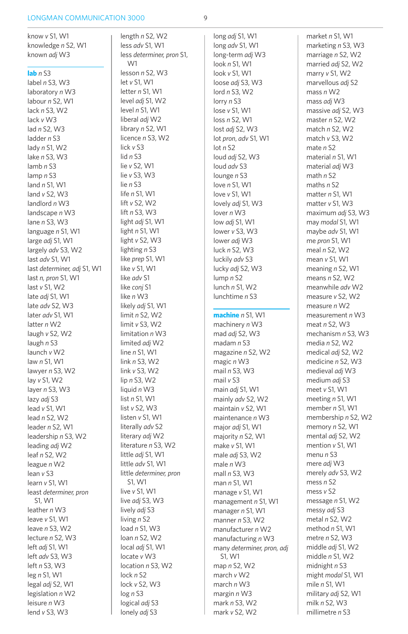know *v* S1, W1 knowledge *n* S2, W1 known *adj* W3

#### **lab** *n* S3

label *n* S3, W3 laboratory *n* W3 labour *n* S2, W1 lack *n* S3, W2 lack *v* W3 lad *n* S2, W3 ladder *n* S3 lady *n* S1, W2 lake *n* S3, W3 lamb *n* S3 lamp *n* S3 land *n* S1, W1 land *v* S2, W3 landlord *n* W3 landscape *n* W3 lane *n* S3, W3 language *n* S1, W1 large *adj* S1, W1 largely *adv* S3, W2 last *adv* S1, W1 last *determiner, adj* S1, W1 last *n, pron* S1, W1 last *v* S1, W2 late *adj* S1, W1 late *adv* S2, W3 later *adv* S1, W1 latter *n* W2 laugh *v* S2, W2 laugh *n* S3 launch *v* W2 law *n* S1, W1 lawyer *n* S3, W2 lay *v* S1, W2 layer *n* S3, W3 lazy *adj* S3 lead *v* S1, W1 lead *n* S2, W2 leader *n* S2, W1 leadership *n* S3, W2 leading *adj* W2 leaf *n* S2, W2 league *n* W2 lean *v* S3 learn *v* S1, W1 least *determiner, pron*  S1, W1 leather *n* W3 leave *v* S1, W1 leave *n* S3, W2 lecture *n* S2, W3 left *adj* S1, W1 left *adv* S3, W3 left *n* S3, W3 leg *n* S1, W1 legal *adj* S2, W1 legislation *n* W2 leisure *n* W3 lend *v* S3, W3

length *n* S2, W2 less *adv* S1, W1 less *determiner, pron* S1, W1 lesson *n* S2, W3 let *v* S1, W1 letter *n* S1, W1 level *adj* S1, W2 level *n* S1, W1 liberal *adj* W2 library *n* S2, W1 licence *n* S3, W2 lick *v* S3 lid *n* S3 lie *v* S2, W1 lie *v* S3, W3 lie *n* S3 life *n* S1, W1 lift *v* S2, W2 lift *n* S3, W3 light *adj* S1, W1 light *n* S1, W1 light *v* S2, W3 lighting *n* S3 like *prep* S1, W1 like *v* S1, W1 like *adv* S1 like *conj* S1 like *n* W3 likely *adj* S1, W1 limit *n* S2, W2 limit *v* S3, W2 limitation *n* W3 limited *adj* W2 line *n* S1, W1 link *n* S3, W2 link *v* S3, W2 lip *n* S3, W2 liquid *n* W3 list *n* S1, W1 list *v* S2, W3 listen *v* S1, W1 literally *adv* S2 literary *adj* W2 literature *n* S3, W2 little *adj* S1, W1 little *adv* S1, W1 little *determiner, pron*  S1, W1 live *v* S1, W1 live *adi* S3, W3 lively *adj* S3 living *n* S2 load *n* S1, W3 loan *n* S2, W2 local *adj* S1, W1 locate *v* W3 location *n* S3, W2 lock *n* S2 lock *v* S2, W3 log *n* S3 logical *adj* S3 lonely *adj* S3

long *adv* S1, W1 long-term *adj* W3 look *n* S1, W1 look *v* S1, W1 loose *adj* S3, W3 lord *n* S3, W2 lorry *n* S3 lose *v* S1, W1 loss *n* S2, W1 lost *adi* S2, W3 lot *pron*, *adv* S1, W1 lot *n* S2 loud *adj* S2, W3 loud *adv* S3 lounge *n* S3 love *n* S1, W1 love *v* S1, W1 lovely *adj* S1, W3 lover *n* W3 low *adj* S1, W1 lower *v* S3, W3 lower *adj* W3 luck *n* S2, W3 luckily *adv* S3 lucky *adj* S2, W3 lump *n* S2 lunch *n* S1, W2 lunchtime *n* S3 **machine** *n* S1, W1 machinery *n* W3 mad *adj* S2, W3 madam *n* S3 magazine *n* S2, W2 magic *n* W3 mail *n* S3, W3 mail *v* S3 main *adj* S1, W1 mainly *adv* S2, W2 maintain *v* S2, W1 maintenance *n* W3 major *adj* S1, W1 majority *n* S2, W1 make *v* S1, W1 male *adj* S3, W2 male *n* W3 mall *n* S3, W3 man *n* S1, W1 manage *v* S1, W1 management *n* S1, W1 manager *n* S1, W1 manner *n* S3, W2 manufacturer *n* W2 manufacturing *n* W3 many *determiner, pron, adj*  S1, W1 map *n* S2, W2

march *v* W2 march *n* W3 margin *n* W3 mark *n* S3, W2 mark *v* S2, W2 market *n* S1, W1 marketing *n* S3, W3 marriage *n* S2, W2 married *adj* S2, W2 marry *v* S1, W2 marvellous *adj* S2 mass *n* W2 mass *adj* W3 massive *adj* S2, W3 master *n* S2, W2 match *n* S2, W2 match *v* S3, W2 mate *n* S2 material *n* S1, W1 material *adj* W3 math *n* S2 maths *n* S2 matter *n* S1, W1 matter *v* S1, W3 maximum *adj* S3, W3 may *modal* S1, W1 maybe *adv* S1, W1 me *pron* S1, W1 meal *n* S2, W2 mean *v* S1, W1 meaning *n* S2, W1 means *n* S2, W2 meanwhile *adv* W2 measure *v* S2, W2 measure *n* W2 measurement *n* W3 meat *n* S2, W3 mechanism *n* S3, W3 media *n* S2, W2 medical *adj* S2, W2 medicine *n* S2, W3 medieval *adj* W3 medium *adj* S3 meet *v* S1, W1 meeting *n* S1, W1 member *n* S1, W1 membership *n* S2, W2 memory *n* S2, W1 mental *adj* S2, W2 mention *v* S1, W1 menu *n* S3 mere *adj* W3 merely *adv* S3, W2 mess *n* S2 mess *v* S2 message *n* S1, W2 messy *adj* S3 metal *n* S2, W2 method *n* S1, W1 metre *n* S2, W3 middle *adj* S1, W2 middle *n* S1, W2 midnight *n* S3 might *modal* S1, W1 mile *n* S1, W1 military *adj* S2, W1 milk *n* S2, W3 millimetre *n* S3

long *adj* S1, W1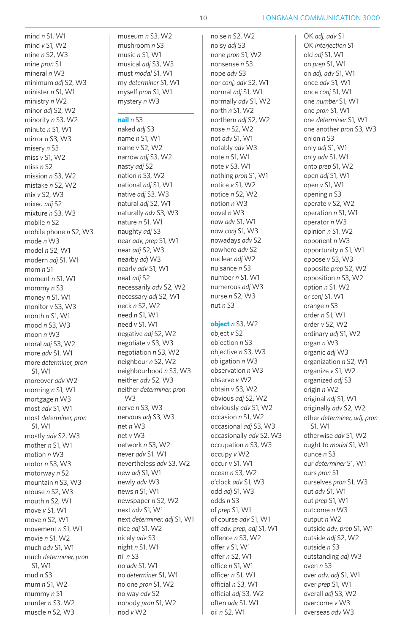mind *n* S1, W1 mind *v* S1, W2 mine *n* S2, W3 mine *pron* S1 mineral *n* W3 minimum *adj* S2, W3 minister *n* S1, W1 ministry *n* W2 minor *adj* S2, W2 minority *n* S3, W2 minute *n* S1, W1 mirror *n* S3, W3 misery *n* S3 miss *v* S1, W2 miss *n* S2 mission *n* S3, W2 mistake *n* S2, W2 mix *v* S2, W3 mixed *adj* S2 mixture *n* S3, W3 mobile *n* S2 mobile phone *n* S2, W3 mode *n* W3 model *n* S2, W1 modern *adj* S1, W1 mom *n* S1 moment *n* S1, W1 mommy *n* S3 money *n* S1, W1 monitor *v* S3, W3 month *n* S1, W1 mood *n* S3, W3 moon *n* W3 moral *adj* S3, W2 more *adv* S1, W1 more *determiner, pron*  S1, W1 moreover *adv* W2 morning *n* S1, W1 mortgage *n* W3 most *adv* S1, W1 most *determiner, pron*  S1, W1 mostly *adv* S2, W3 mother *n* S1, W1 motion *n* W3 motor *n* S3, W3 motorway *n* S2 mountain *n* S3, W3 mouse *n* S2, W3 mouth *n* S2, W1 move *v* S1, W1 move *n* S2, W1 movement *n* S1, W1 movie *n* S1, W2 much *adv* S1, W1 much *determiner, pron*  S1, W1 mud *n* S3 mum *n* S1, W2 mummy *n* S1 murder *n* S3, W2 muscle *n* S2, W3

museum *n* S3, W2 mushroom *n* S3 music *n* S1, W1 musical *adj* S3, W3 must *modal* S1, W1 my *determiner* S1, W1 myself *pron* S1, W1 mystery *n* W3

#### **nail** *n* S3

naked *adj* S3 name *n* S1, W1 name *v* S2, W2 narrow *adj* S3, W2 nasty *adj* S2 nation *n* S3, W2 national *adj* S1, W1 native *adj* S3, W3 natural *adj* S2, W1 naturally *adv* S3, W3 nature *n* S1, W1 naughty *adj* S3 near *adv, prep* S1, W1 near *adj* S2, W3 nearby *adj* W3 nearly *adv* S1, W1 neat *adj* S2 necessarily *adv* S2, W2 necessary *adj* S2, W1 neck *n* S2, W2 need *n* S1, W1 need *v* S1, W1 negative *adj* S2, W2 negotiate *v* S3, W3 negotiation *n* S3, W2 neighbour *n* S2, W2 neighbourhood *n* S3, W3 neither *adv* S2, W3 neither *determiner, pron*   $M<sub>3</sub>$ nerve *n* S3, W3 nervous *adj* S3, W3 net *n* W3 net *v* W3 network *n* S3, W2 never *adv* S1, W1 nevertheless *adv* S3, W2 new *adj* S1, W1 newly *adv* W3 news *n* S1, W1 newspaper *n* S2, W2 next *adv* S1, W1 next *determiner, adj* S1, W1 nice *adj* S1, W2 nicely *adv* S3 night *n* S1, W1 nil *n* S3 no *adv* S1, W1 no *determiner* S1, W1 no one *pron* S1, W2 no way *adv* S2 nobody *pron* S1, W2 nod *v* W2

noisy *adj* S3 none *pron* S1, W2 nonsense *n* S3 nope *adv* S3 nor *conj, adv* S2, W1 normal *adj* S1, W1 normally *adv* S1, W2 north *n* S1, W2 northern *adj* S2, W2 nose *n* S2, W2 not *adv* S1, W1 notably *adv* W3 note *n* S1, W1 note *v* S3, W1 nothing *pron* S1, W1 notice *v* S1, W2 notice *n* S2, W2 notion *n* W3 novel *n* W3 now *adv* S1, W1 now *conj* S1, W3 nowadays *adv* S2 nowhere *adv* S2 nuclear *adj* W2 nuisance *n* S3 number *n* S1, W1 numerous *adj* W3 nurse *n* S2, W3 nut *n* S3

#### **object** *n* S3, W2

object *v* S2 objection *n* S3 objective *n* S3, W3 obligation *n* W3 observation *n* W3 observe *v* W2 obtain *v* S3, W2 obvious *adj* S2, W2 obviously *adv* S1, W2 occasion *n* S1, W2 occasional *adj* S3, W3 occasionally *adv* S2, W3 occupation *n* S3, W3 occupy *v* W2 occur *v* S1, W1 ocean *n* S3, W2 o'clock *adv* S1, W3 odd *adj* S1, W3 odds *n* S3 of *prep* S1, W1 of course *adv* S1, W1 off *adv, prep, adj* S1, W1 offence *n* S3, W2 offer *v* S1, W1 offer *n* S2, W1 office *n* S1, W1 officer *n* S1, W1 official *n* S3, W1 official *adj* S3, W2 often *adv* S1, W1 oil *n* S2, W1

OK *adj, adv* S1 OK *interjection* S1 old *adj* S1, W1 on *prep* S1, W1 on *adj, adv* S1, W1 once *adv* S1, W1 once *conj* S1, W1 one *number* S1, W1 one *pron* S1, W1 one *determiner* S1, W1 one another *pron* S3, W3 onion *n* S3 only *adj* S1, W1 only *adv* S1, W1 onto *prep* S1, W2 open *adj* S1, W1 open *v* S1, W1 opening *n* S3 operate *v* S2, W2 operation *n* S1, W1 operator *n* W3 opinion *n* S1, W2 opponent *n* W3 opportunity *n* S1, W1 oppose *v* S3, W3 opposite *prep* S2, W2 opposition *n* S3, W2 option *n* S1, W2 or *conj* S1, W1 orange *n* S3 order *n* S1, W1 order *v* S2, W2 ordinary *adj* S1, W2 organ *n* W3 organic *adj* W3 organization *n* S2, W1 organize *v* S1, W2 organized *adj* S3 origin *n* W2 original *adj* S1, W1 originally *adv* S2, W2 other *determiner, adj, pron*  S1, W1 otherwise *adv* S1, W2 ought to *modal* S1, W1 ounce *n* S3 our *determiner* S1, W1 ours *pron* S1 ourselves *pron* S1, W3 out *adv* S1, W1 out *prep* S1, W1 outcome *n* W3 output *n* W2 outside *adv, prep* S1, W1 outside *adj* S2, W2 outside *n* S3 outstanding *adj* W3 oven *n* S3 over *adv, adj* S1, W1 over *prep* S1, W1 overall *adj* S3, W2 overcome *v* W3 overseas *adv* W3

noise *n* S2, W2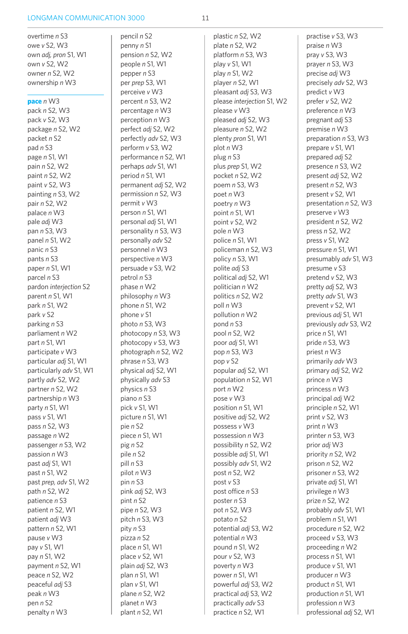overtime *n* S3 owe *v* S2, W3 own *adj, pron* S1, W1 own *v* S2, W2 owner *n* S2, W2 ownership *n* W3

#### **pace** *n* W3

pack *n* S2, W3 pack *v* S2, W3 package *n* S2, W2 packet *n* S2 pad *n* S3 page *n* S1, W1 pain *n* S2, W2 paint *n* S2, W2 paint *v* S2, W3 painting *n* S3, W2 pair *n* S2, W2 palace *n* W3 pale *adj* W3 pan *n* S3, W3 panel *n* S1, W2 panic *n* S3 pants *n* S3 paper *n* S1, W1 parcel *n* S3 pardon *interjection* S2 parent *n* S1, W1 park *n* S1, W2 park *v* S2 parking *n* S3 parliament *n* W2 part *n* S1, W1 participate *v* W3 particular *adj* S1, W1 particularly *adv* S1, W1 partly *adv* S2, W2 partner *n* S2, W2 partnership *n* W3 party *n* S1, W1 pass *v* S1, W1 pass *n* S2, W3 passage *n* W2 passenger *n* S3, W2 passion *n* W3 past *adj* S1, W1 past *n* S1, W2 past *prep, adv* S1, W2 path *n* S2, W2 patience *n* S3 patient *n* S2, W1 patient *adj* W3 pattern *n* S2, W1 pause *v* W3 pay *v* S1, W1 pay *n* S1, W2 payment *n* S2, W1 peace *n* S2, W2 peaceful *adj* S3 peak *n* W3 pen *n* S2 penalty *n* W3

pencil *n* S2 penny *n* S1 pension *n* S2, W2 people *n* S1, W1 pepper *n* S3 per *prep* S3, W1 perceive *v* W3 percent *n* S3, W2 percentage *n* W3 perception *n* W3 perfect *adj* S2, W2 perfectly *adv* S2, W3 perform *v* S3, W2 performance *n* S2, W1 perhaps *adv* S1, W1 period *n* S1, W1 permanent *adj* S2, W2 permission *n* S2, W3 permit *v* W3 person *n* S1, W1 personal *adj* S1, W1 personality *n* S3, W3 personally *adv* S2 personnel *n* W3 perspective *n* W3 persuade *v* S3, W2 petrol *n* S3 phase *n* W2 philosophy *n* W3 phone *n* S1, W2 phone *v* S1 photo *n* S3, W3 photocopy *n* S3, W3 photocopy *v* S3, W3 photograph *n* S2, W2 phrase *n* S3, W3 physical *adj* S2, W1 physically *adv* S3 physics *n* S3 piano *n* S3 pick *v* S1, W1 picture *n* S1, W1 pie *n* S2 piece *n* S1, W1 pig *n* S2 pile *n* S2 pill *n* S3 pilot *n* W3 pin *n* S3 pink *adj* S2, W3 pint *n* S2 pipe *n* S2, W3 pitch *n* S3, W3 pity *n* S3 pizza *n* S2 place *n* S1, W1 place *v* S2, W1 plain *adj* S2, W3 plan *n* S1, W1 plan *v* S1, W1 plane *n* S2, W2 planet *n* W3 plant *n* S2, W1

plastic *n* S2, W2 plate *n* S2, W2 platform *n* S3, W3 play *v* S1, W1 play *n* S1, W2 player *n* S2, W1 pleasant *adj* S3, W3 please *interjection* S1, W2 please *v* W3 pleased *adj* S2, W3 pleasure *n* S2, W2 plenty *pron* S1, W1 plot *n* W3 plug *n* S3 plus *prep* S1, W2 pocket *n* S2, W2 poem *n* S3, W3 poet *n* W3 poetry *n* W3 point *n* S1, W1 point *v* S2, W2 pole *n* W3 police *n* S1, W1 policeman *n* S2, W3 policy *n* S3, W1 polite *adj* S3 political *adj* S2, W1 politician *n* W2 politics *n* S2, W2 poll *n* W3 pollution *n* W2 pond *n* S3 pool *n* S2, W2 poor *adj* S1, W1 pop *n* S3, W3 pop *v* S2 popular *adj* S2, W1 population *n* S2, W1 port *n* W2 pose *v* W3 position *n* S1, W1 positive *adj* S2, W2 possess *v* W3 possession *n* W3 possibility *n* S2, W2 possible *adj* S1, W1 possibly *adv* S1, W2 post *n* S2, W2 post *v* S3 post office *n* S3 poster *n* S3 pot *n* S2, W3 potato *n* S2 potential *adj* S3, W2 potential *n* W3 pound *n* S1, W2 pour *v* S2, W3 poverty *n* W3 power *n* S1, W1 powerful *adj* S3, W2 practical *adj* S3, W2 practically *adv* S3 practice *n* S2, W1

practise *v* S3, W3 praise *n* W3 pray *v* S3, W3 prayer *n* S3, W3 precise *adj* W3 precisely *adv* S2, W3 predict *v* W3 prefer *v* S2, W2 preference *n* W3 pregnant *adj* S3 premise *n* W3 preparation *n* S3, W3 prepare *v* S1, W1 prepared *adj* S2 presence *n* S3, W2 present *adj* S2, W2 present *n* S2, W3 present *v* S2, W1 presentation *n* S2, W3 preserve *v* W3 president *n* S2, W2 press *n* S2, W2 press *v* S1, W2 pressure *n* S1, W1 presumably *adv* S1, W3 presume *v* S3 pretend *v* S2, W3 pretty *adj* S2, W3 pretty *adv* S1, W3 prevent *v* S2, W1 previous *adj* S1, W1 previously *adv* S3, W2 price *n* S1, W1 pride *n* S3, W3 priest *n* W3 primarily *adv* W3 primary *adj* S2, W2 prince *n* W3 princess *n* W3 principal *adj* W2 principle *n* S2, W1 print *v* S2, W3 print *n* W3 printer *n* S3, W3 prior *adj* W3 priority *n* S2, W2 prison *n* S2, W2 prisoner *n* S3, W2 private *adj* S1, W1 privilege *n* W3 prize *n* S2, W2 probably *adv* S1, W1 problem *n* S1, W1 procedure *n* S2, W2 proceed *v* S3, W3 proceeding *n* W2 process *n* S1, W1 produce *v* S1, W1 producer *n* W3 product *n* S1, W1 production *n* S1, W1 profession *n* W3 professional *adj* S2, W1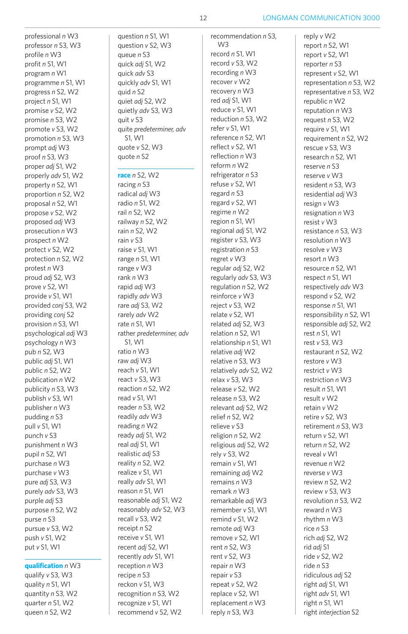professional *n* W3 professor *n* S3, W3 profile *n* W3 profit *n* S1, W1 program *n* W1 programme *n* S1, W1 progress *n* S2, W2 project *n* S1, W1 promise *v* S2, W2 promise *n* S3, W2 promote *v* S3, W2 promotion *n* S3, W3 prompt *adj* W3 proof *n* S3, W3 proper *adj* S1, W2 properly *adv* S1, W2 property *n* S2, W1 proportion *n* S2, W2 proposal *n* S2, W1 propose *v* S2, W2 proposed *adj* W3 prosecution *n* W3 prospect *n* W2 protect *v* S2, W2 protection *n* S2, W2 protest *n* W3 proud *adj* S2, W3 prove *v* S2, W1 provide *v* S1, W1 provided *conj* S3, W2 providing *conj* S2 provision *n* S3, W1 psychological *adj* W3 psychology *n* W3 pub *n* S2, W3 public *adj* S1, W1 public *n* S2, W2 publication *n* W2 publicity *n* S3, W3 publish *v* S3, W1 publisher *n* W3 pudding *n* S3 pull *v* S1, W1 punch *v* S3 punishment *n* W3 pupil *n* S2, W1 purchase *n* W3 purchase *v* W3 pure *adj* S3, W3 purely *adv* S3, W3 purple *adj* S3 purpose *n* S2, W2 purse *n* S3 pursue *v* S3, W2 push *v* S1, W2 put *v* S1, W1

# **qualification** *n* W3

qualify *v* S3, W3 quality *n* S1, W1 quantity *n* S3, W2 quarter *n* S1, W2 queen *n* S2, W2

question *n* S1, W1 question *v* S2, W3 queue *n* S3 quick *adj* S1, W2 quick *adv* S3 quickly *adv* S1, W1 quid *n* S2 quiet *adj* S2, W2 quietly *adv* S3, W3 quit *v* S3 quite *predeterminer, adv*  S1, W1 quote *v* S2, W3 quote *n* S2

**race** *n* S2, W2 racing *n* S3 radical *adj* W3 radio *n* S1, W2 rail *n* S2, W2 railway *n* S2, W2 rain *n* S2, W2 rain *v* S3 raise *v* S1, W1 range *n* S1, W1 range *v* W3 rank *n* W3 rapid *adj* W3 rapidly *adv* W3 rare *adj* S3, W2 rarely *adv* W2 rate *n* S1, W1 rather *predeterminer, adv*  S1, W1 ratio *n* W3 raw *adj* W3 reach *v* S1, W1 react *v* S3, W3 reaction *n* S2, W2 read *v* S1, W1 reader *n* S3, W2 readily *adv* W3 reading *n* W2 ready *adj* S1, W2 real *adj* S1, W1 realistic *adj* S3 reality *n* S2, W2 realize *v* S1, W1 really *adv* S1, W1 reason *n* S1, W1 reasonable *adj* S1, W2 reasonably *adv* S2, W3 recall *v* S3, W2 receipt *n* S2 receive *v* S1, W1 recent *adj* S2, W1 recently *adv* S1, W1 reception *n* W3 recipe *n* S3 reckon *v* S1, W3 recognition *n* S3, W2 recognize *v* S1, W1 recommend *v* S2, W2

recommendation *n* S3,  $M3$ record *n* S1, W1 record *v* S3, W2 recording *n* W3 recover *v* W2 recovery *n* W3 red *adj* S1, W1 reduce *v* S1, W1 reduction *n* S3, W2 refer *v* S1, W1 reference *n* S2, W1 reflect *v* S2, W1 reflection *n* W3 reform *n* W2 refrigerator *n* S3 refuse *v* S2, W1 regard *n* S3 regard *v* S2, W1 regime *n* W2 region *n* S1, W1 regional *adj* S1, W2 register *v* S3, W3 registration *n* S3 regret *v* W3 regular *adj* S2, W2 regularly *adv* S3, W3 regulation *n* S2, W2 reinforce *v* W3 reject *v* S3, W2 relate *v* S2, W1 related *adj* S2, W3 relation *n* S2, W1 relationship *n* S1, W1 relative *adj* W2 relative *n* S3, W3 relatively *adv* S2, W2 relax *v* S3, W3 release *v* S2, W2 release *n* S3, W2 relevant *adj* S2, W2 relief *n* S2, W2 relieve *v* S3 religion *n* S2, W2 religious *adj* S2, W2 rely *v* S3, W2 remain *v* S1, W1 remaining *adj* W2 remains *n* W3 remark *n* W3 remarkable *adj* W3 remember *v* S1, W1 remind *v* S1, W2 remote *adj* W3 remove *v* S2, W1 rent *n* S2, W3 rent *v* S2, W3 repair *n* W3 repair *v* S3 repeat *v* S2, W2 replace *v* S2, W1 replacement *n* W3 reply *n* S3, W3

12 LONGMAN COMMUNICATION 3000

reply *v* W2 report *n* S2, W1 report *v* S2, W1 reporter *n* S3 represent *v* S2, W1 representation *n* S3, W2 representative *n* S3, W2 republic *n* W2 reputation *n* W3 request *n* S3, W2 require *v* S1, W1 requirement *n* S2, W2 rescue *v* S3, W3 research *n* S2, W1 reserve *n* S3 reserve *v* W3 resident *n* S3, W3 residential *adj* W3 resign *v* W3 resignation *n* W3 resist *v* W3 resistance *n* S3, W3 resolution *n* W3 resolve *v* W3 resort *n* W3 resource *n* S2, W1 respect *n* S1, W1 respectively *adv* W3 respond *v* S2, W2 response *n* S1, W1 responsibility *n* S2, W1 responsible *adj* S2, W2 rest *n* S1, W1 rest *v* S3, W3 restaurant *n* S2, W2 restore *v* W3 restrict *v* W3 restriction *n* W3 result *n* S1, W1 result *v* W2 retain *v* W2 retire *v* S2, W3 retirement *n* S3, W3 return *v* S2, W1 return *n* S2, W2 reveal *v* W1 revenue *n* W2 reverse *v* W3 review *n* S2, W2 review *v* S3, W3 revolution *n* S3, W2 reward *n* W3 rhythm *n* W3 rice *n* S3 rich *adj* S2, W2 rid *adj* S1 ride *v* S2, W2 ride *n* S3 ridiculous *adj* S2 right *adj* S1, W1 right *adv* S1, W1 right *n* S1, W1 right *interjection* S2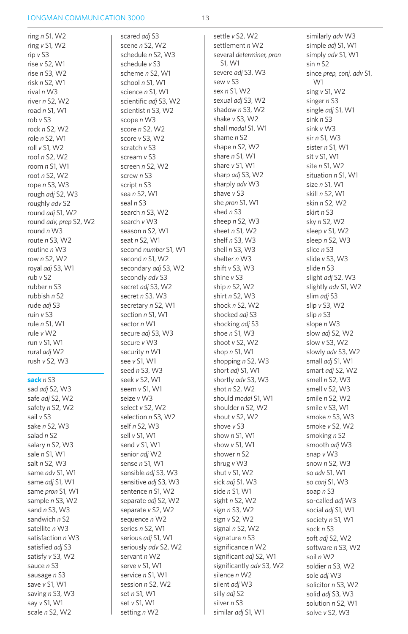ring *n* S1, W2 ring *v* S1, W2 rip *v* S3 rise *v* S2, W1 rise *n* S3, W2 risk *n* S2, W1 rival *n* W3 river *n* S2, W2 road *n* S1, W1 rob *v* S3 rock *n* S2, W2 role *n* S2, W1 roll *v* S1, W2 roof *n* S2, W2 room *n* S1, W1 root *n* S2, W2 rope *n* S3, W3 rough *adj* S2, W3 roughly *adv* S2 round *adj* S1, W2 round *adv, prep* S2, W2 round *n* W3 route *n* S3, W2 routine *n* W3 row *n* S2, W2 royal *adj* S3, W1 rub *v* S2 rubber *n* S3 rubbish *n* S2 rude *adj* S3 ruin *v* S3 rule *n* S1, W1 rule *v* W2 run *v* S1, W1 rural *adj* W2 rush *v* S2, W3

**sack** *n* S3

sad *adj* S2, W3 safe *adj* S2, W2 safety *n* S2, W2 sail *v* S3 sake *n* S2, W3 salad *n* S2 salary *n* S2, W3 sale *n* S1, W1 salt *n* S2, W3 same *adv* S1, W1 same *adj* S1, W1 same *pron* S1, W1 sample *n* S3, W2 sand *n* S3, W3 sandwich *n* S2 satellite *n* W3 satisfaction *n* W3 satisfied *adj* S3 satisfy *v* S3, W2 sauce *n* S3 sausage *n* S3 save *v* S1, W1 saving *n* S3, W3 say *v* S1, W1 scale *n* S2, W2

scared *adj* S3 scene *n* S2, W2 schedule *n* S2, W3 schedule *v* S3 scheme *n* S2, W1 school *n* S1, W1 science *n* S1, W1 scientific *adj* S3, W2 scientist *n* S3, W2 scope *n* W3 score *n* S2, W2 score *v* S3, W2 scratch *v* S3 scream *v* S3 screen *n* S2, W2 screw *n* S3 script *n* S3 sea *n* S2, W1 seal *n* S3 search *n* S3, W2 search *v* W3 season *n* S2, W1 seat *n* S2, W1 second *number* S1, W1 second *n* S1, W2 secondary *adj* S3, W2 secondly *adv* S3 secret *adj* S3, W2 secret *n* S3, W3 secretary *n* S2, W1 section *n* S1, W1 sector *n* W1 secure *adj* S3, W3 secure *v* W3 security *n* W1 see *v* S1, W1 seed *n* S3, W3 seek *v* S2, W1 seem *v* S1, W1 seize *v* W3 select *v* S2, W2 selection *n* S3, W2 self *n* S2, W3 sell *v* S1, W1 send *v* S1, W1 senior *adj* W2 sense *n* S1, W1 sensible *adj* S3, W3 sensitive *adj* S3, W3 sentence *n* S1, W2 separate *adj* S2, W2 separate *v* S2, W2 sequence *n* W2 series *n* S2, W1 serious *adj* S1, W1 seriously *adv* S2, W2 servant *n* W2 serve *v* S1, W1 service *n* S1, W1 session *n* S2, W2 set *n* S1, W1 set *v* S1, W1 setting *n* W2

settle *v* S2, W2 settlement *n* W2 several *determiner, pron*  S1, W1 severe *adj* S3, W3 sew *v* S3 sex *n* S1, W2 sexual *adj* S3, W2 shadow *n* S3, W2 shake *v* S3, W2 shall *modal* S1, W1 shame *n* S2 shape *n* S2, W2 share *n* S1, W1 share *v* S1, W1 sharp *adj* S3, W2 sharply *adv* W3 shave *v* S3 she *pron* S1, W1 shed *n* S3 sheep *n* S2, W3 sheet *n* S1, W2 shelf *n* S3, W3 shell *n* S3, W3 shelter *n* W3 shift *v* S3, W3 shine *v* S3 ship *n* S2, W2 shirt *n* S2, W3 shock *n* S2, W2 shocked *adj* S3 shocking *adj* S3 shoe *n* S1, W3 shoot *v* S2, W2 shop *n* S1, W1 shopping *n* S2, W3 short *adj* S1, W1 shortly *adv* S3, W3 shot *n* S2, W2 should *modal* S1, W1 shoulder *n* S2, W2 shout *v* S2, W2 shove *v* S3 show *n* S1, W1 show *v* S1, W1 shower *n* S2 shrug *v* W3 shut *v* S1, W2 sick *adj* S1, W3 side *n* S1, W1 sight *n* S2, W2 sign *n* S3, W2 sign *v* S2, W2 signal *n* S2, W2 signature *n* S3 significance *n* W2 significant *adj* S2, W1 significantly *adv* S3, W2 silence *n* W2 silent *adj* W3 silly *adj* S2 silver *n* S3 similar *adj* S1, W1

similarly *adv* W3 simple *adj* S1, W1 simply *adv* S1, W1 sin *n* S2 since *prep, conj, adv* S1, W1 sing *v* S1, W2 singer *n* S3 single *adj* S1, W1 sink *n* S3 sink *v* W3 sir *n* S1, W3 sister *n* S1, W1 sit *v* S1, W1 site *n* S1, W2 situation *n* S1, W1 size *n* S1, W1 skill *n* S2, W1 skin *n* S2, W2 skirt *n* S3 sky *n* S2, W2 sleep *v* S1, W2 sleep *n* S2, W3 slice *n* S3 slide *v* S3, W3 slide *n* S3 slight *adj* S2, W3 slightly *adv* S1, W2 slim *adj* S3 slip *v* S3, W2 slip *n* S3 slope *n* W3 slow *adj* S2, W2 slow *v* S3, W2 slowly *adv* S3, W2 small *adj* S1, W1 smart *adj* S2, W2 smell *n* S2, W3 smell *v* S2, W3 smile *n* S2, W2 smile *v* S3, W1 smoke *n* S3, W3 smoke *v* S2, W2 smoking *n* S2 smooth *adj* W3 snap *v* W3 snow *n* S2, W3 so *adv* S1, W1 so *conj* S1, W3 soap *n* S3 so-called *adj* W3 social *adj* S1, W1 society *n* S1, W1 sock *n* S3 soft *adj* S2, W2 software *n* S3, W2 soil *n* W2 soldier *n* S3, W2 sole *adj* W3 solicitor *n* S3, W2 solid *adj* S3, W3 solution *n* S2, W1 solve *v* S2, W3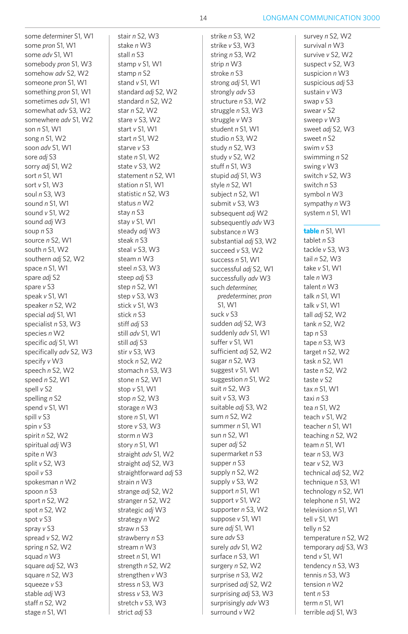some *determiner* S1, W1 some *pron* S1, W1 some *adv* S1, W1 somebody *pron* S1, W3 somehow *adv* S2, W2 someone *pron* S1, W1 something *pron* S1, W1 sometimes *adv* S1, W1 somewhat *adv* S3, W2 somewhere *adv* S1, W2 son *n* S1, W1 song *n* S1, W2 soon *adv* S1, W1 sore *adj* S3 sorry *adj* S1, W2 sort *n* S1, W1 sort *v* S1, W3 soul *n* S3, W3 sound *n* S1, W1 sound *v* S1, W2 sound *adj* W3 soup *n* S3 source *n* S2, W1 south *n* S1, W2 southern *adj* S2, W2 space *n* S1, W1 spare *adj* S2 spare *v* S3 speak *v* S1, W1 speaker *n* S2, W2 special *adj* S1, W1 specialist *n* S3, W3 species *n* W2 specific *adj* S1, W1 specifically *adv* S2, W3 specify *v* W3 speech *n* S2, W2 speed *n* S2, W1 spell *v* S2 spelling *n* S2 spend *v* S1, W1 spill *v* S3 spin *v* S3 spirit *n* S2, W2 spiritual *adj* W3 spite *n* W3 split *v* S2, W3 spoil *v* S3 spokesman *n* W2 spoon *n* S3 sport *n* S2, W2 spot *n* S2, W2 spot *v* S3 spray *v* S3 spread *v* S2, W2 spring *n* S2, W2 squad *n* W3 square *adj* S2, W3 square *n* S2, W3 squeeze *v* S3 stable *adj* W3

staff *n* S2, W2 stage *n* S1, W1 stair *n* S2, W3 stake *n* W3 stall *n* S3 stamp *v* S1, W1 stamp *n* S2 stand *v* S1, W1 standard *adj* S2, W2 standard *n* S2, W2 star *n* S2, W2 stare *v* S3, W2 start *v* S1, W1 start *n* S1, W2 starve *v* S3 state *n* S1, W2 state *v* S3, W2 statement *n* S2, W1 station *n* S1, W1 statistic *n* S2, W3 status *n* W2 stay *n* S3 stay *v* S1, W1 steady *adj* W3 steak *n* S3 steal *v* S3, W3 steam *n* W3 steel *n* S3, W3 steep *adj* S3 step *n* S2, W1 step *v* S3, W3 stick *v* S1, W3 stick *n* S3 stiff *adj* S3 still *adv* S1, W1 still *adj* S3 stir *v* S3, W3 stock *n* S2, W2 stomach *n* S3, W3 stone *n* S2, W1 stop *v* S1, W1 stop *n* S2, W3 storage *n* W3 store *n* S1, W1 store *v* S3, W3 storm *n* W3 story *n* S1, W1 straight *adv* S1, W2 straight *adj* S2, W3 straightforward *adj* S3 strain *n* W3 strange *adj* S2, W2 stranger *n* S2, W2 strategic *adj* W3 strategy *n* W2 straw *n* S3 strawberry *n* S3 stream *n* W3 street *n* S1, W1 strength *n* S2, W2 strengthen *v* W3 stress *n* S3, W3 stress *v* S3, W3 stretch *v* S3, W3 strict *adj* S3

strike *n* S3, W2 strike *v* S3, W3 string *n* S3, W2 strip *n* W3 stroke *n* S3 strong *adj* S1, W1 strongly *adv* S3 structure *n* S3, W2 struggle *n* S3, W3 struggle *v* W3 student *n* S1, W1 studio *n* S3, W2 study *n* S2, W3 study *v* S2, W2 stuff *n* S1, W3 stupid *adj* S1, W3 style *n* S2, W1 subject *n* S2, W1 submit *v* S3, W3 subsequent *adj* W2 subsequently *adv* W3 substance *n* W3 substantial *adj* S3, W2 succeed *v* S3, W2 success *n* S1, W1 successful *adj* S2, W1 successfully *adv* W3 such *determiner, predeterminer, pron*  S1, W1 suck *v* S3 sudden *adj* S2, W3 suddenly *adv* S1, W1 suffer *v* S1, W1 sufficient *adj* S2, W2 sugar *n* S2, W3 suggest *v* S1, W1 suggestion *n* S1, W2 suit *n* S2, W3 suit *v* S3, W3 suitable *adj* S3, W2 sum *n* S2, W2 summer *n* S1, W1 sun *n* S2, W1 super *adj* S2 supermarket *n* S3 supper *n* S3 supply *n* S2, W2 supply *v* S3, W2 support *n* S1, W1 support *v* S1, W2 supporter *n* S3, W2 suppose *v* S1, W1 sure *adj* S1, W1 sure *adv* S3 surely *adv* S1, W2 surface *n* S3, W1 surgery *n* S2, W2 surprise *n* S3, W2 surprised *adj* S2, W2 surprising *adj* S3, W3 surprisingly *adv* W3 surround *v* W2

# survey *n* S2, W2 14 LONGMAN COMMUNICATION 3000

survival *n* W3 survive *v* S2, W2 suspect *v* S2, W3 suspicion *n* W3

suspicious *adj* S3 sustain *v* W3 swap *v* S3 swear *v* S2 sweep *v* W3 sweet *adj* S2, W3 sweet *n* S2 swim *v* S3 swimming *n* S2 swing *v* W3 switch *v* S2, W3 switch *n* S3 symbol *n* W3 sympathy *n* W3 system *n* S1, W1 **table** *n* S1, W1 tablet *n* S3 tackle *v* S3, W3 tail *n* S2, W3 take *v* S1, W1 tale *n* W3 talent *n* W3 talk *n* S1, W1 talk *v* S1, W1 tall *adj* S2, W2 tank *n* S2, W2 tap *n* S3 tape *n* S3, W3 target *n* S2, W2 task *n* S2, W1 taste *n* S2, W2 taste *v* S2 tax *n* S1, W1 taxi *n* S3 tea *n* S1, W2 teach *v* S1, W2 teacher *n* S1, W1 teaching *n* S2, W2 team *n* S1, W1 tear *n* S3, W3 tear *v* S2, W3 technical *adj* S2, W2 technique *n* S3, W1 technology *n* S2, W1 telephone *n* S1, W2 television *n* S1, W1 tell *v* S1, W1 telly *n* S2 temperature *n* S2, W2 temporary *adj* S3, W3 tend *v* S1, W1 tendency *n* S3, W3 tennis *n* S3, W3 tension *n* W2 tent *n* S3 term *n* S1, W1 terrible *adj* S1, W3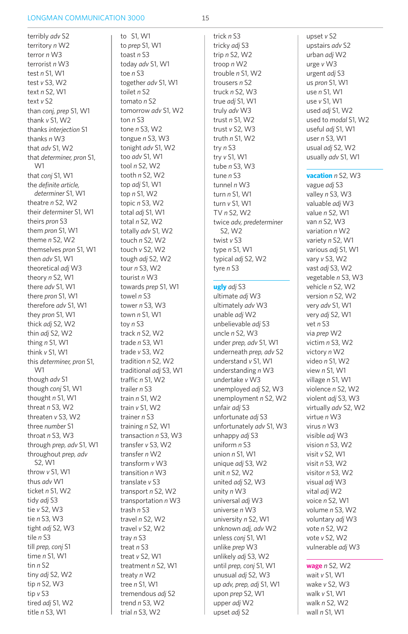terribly *adv* S2 territory *n* W2 terror *n* W3 terrorist *n* W3 test *n* S1, W1 test *v* S3, W2 text *n* S2, W1 text *v* S2 than *conj, prep* S1, W1 thank *v* S1, W2 thanks *interjection* S1 thanks *n* W3 that *adv* S1, W2 that *determiner, pron* S1, **\A/1** that *conj* S1, W1 the *definite article, determiner* S1, W1 theatre *n* S2, W2 their *determiner* S1, W1 theirs *pron* S3 them *pron* S1, W1 theme *n* S2, W2 themselves *pron* S1, W1 then *adv* S1, W1 theoretical *adj* W3 theory *n* S2, W1 there *adv* S1, W1 there *pron* S1, W1 therefore *adv* S1, W1 they *pron* S1, W1 thick *adj* S2, W2 thin *adj* S2, W2 thing *n* S1, W1 think *v* S1, W1 this *determiner, pron* S1, W1 though *adv* S1 though *conj* S1, W1 thought *n* S1, W1 threat *n* S3, W2 threaten *v* S3, W2 three *number* S1 throat *n* S3, W3 through *prep, adv* S1, W1 throughout *prep, adv*  S2, W1 throw *v* S1, W1 thus *adv* W1 ticket *n* S1, W2 tidy *adj* S3 tie *v* S2, W3 tie *n* S3, W3 tight *adj* S2, W3 tile *n* S3 till *prep, conj* S1 time *n* S1, W1 tin *n* S2 tiny *adj* S2, W2 tip *n* S2, W3 tip *v* S3 tired *adj* S1, W2

title *n* S3, W1

to S1, W1 to *prep* S1, W1 toast *n* S3 today *adv* S1, W1 toe *n* S3 together *adv* S1, W1 toilet *n* S2 tomato *n* S2 tomorrow *adv* S1, W2 ton *n* S3 tone *n* S3, W2 tongue *n* S3, W3 tonight *adv* S1, W2 too *adv* S1, W1 tool *n* S2, W2 tooth *n* S2, W2 top *adj* S1, W1 top *n* S1, W2 topic *n* S3, W2 total *adj* S1, W1 total *n* S2, W2 totally *adv* S1, W2 touch *n* S2, W2 touch *v* S2, W2 tough *adj* S2, W2 tour *n* S3, W2 tourist *n* W3 towards *prep* S1, W1 towel *n* S3 tower *n* S3, W3 town *n* S1, W1 toy *n* S3 track *n* S2, W2 trade *n* S3, W1 trade *v* S3, W2 tradition *n* S2, W2 traditional *adj* S3, W1 traffic *n* S1, W2 trailer *n* S3 train *n* S1, W2 train *v* S1, W2 trainer *n* S3 training *n* S2, W1 transaction *n* S3, W3 transfer *v* S3, W2 transfer *n* W2 transform *v* W3 transition *n* W3 translate *v* S3 transport *n* S2, W2 transportation *n* W3 trash *n* S3 travel *n* S2, W2 travel *v* S2, W2 tray *n* S3 treat *n* S3 treat *v* S2, W1 treatment *n* S2, W1 treaty *n* W2 tree *n* S1, W1 tremendous *adj* S2 trend *n* S3, W2 trial *n* S3, W2

trick *n* S3 tricky *adj* S3 trip *n* S2, W2 troop *n* W2 trouble *n* S1, W2 trousers *n* S2 truck *n* S2, W3 true *adj* S1, W1 truly *adv* W3 trust *n* S1, W2 trust *v* S2, W3 truth *n* S1, W2 try *n* S3 try *v* S1, W1 tube *n* S3, W3 tune *n* S3 tunnel *n* W3 turn *n* S1, W1 turn *v* S1, W1 TV *n* S2, W2 twice *adv, predeterminer*  S2, W2 twist *v* S3 type *n* S1, W1 typical *adj* S2, W2 tyre *n* S3 **ugly** *adj* S3 ultimate *adj* W3 ultimately *adv* W3 unable *adj* W2 unbelievable *adj* S3 uncle *n* S2, W3 under *prep, adv* S1, W1 underneath *prep, adv* S2 understand *v* S1, W1 understanding *n* W3 undertake *v* W3 unemployed *adj* S2, W3 unemployment *n* S2, W2 unfair *adj* S3 unfortunate *adj* S3 unfortunately *adv* S1, W3 unhappy *adj* S3 uniform *n* S3 union *n* S1, W1 unique *adj* S3, W2 unit *n* S2, W2 united *adj* S2, W3 unity *n* W3 universal *adj* W3 universe *n* W3 university *n* S2, W1 unknown *adj, adv* W2 unless *conj* S1, W1 unlike *prep* W3 unlikely *adj* S3, W2 until *prep, conj* S1, W1 unusual *adj* S2, W3 up *adv, prep, adj* S1, W1 upon *prep* S2, W1 upper *adj* W2 upset *adj* S2

upstairs *adv* S2 urban *adj* W2 urge *v* W3 urgent *adj* S3 us *pron* S1, W1 use *n* S1, W1 use *v* S1, W1 used *adj* S1, W2 used to *modal* S1, W2 useful *adj* S1, W1 user *n* S3, W1 usual *adj* S2, W2 usually *adv* S1, W1 **vacation** *n* S2, W3 vague *adj* S3 valley *n* S3, W3 valuable *adj* W3 value *n* S2, W1 van *n* S2, W3 variation *n* W2 variety *n* S2, W1 various *adj* S1, W1 vary *v* S3, W2 vast *adj* S3, W2 vegetable *n* S3, W3 vehicle *n* S2, W2 version *n* S2, W2 very *adv* S1, W1 very *adj* S2, W1 vet *n* S3 via *prep* W2 victim *n* S3, W2 victory *n* W2 video *n* S1, W2 view *n* S1, W1 village *n* S1, W1 violence *n* S2, W2 violent *adj* S3, W3 virtually *adv* S2, W2 virtue *n* W3 virus *n* W3 visible *adj* W3 vision *n* S3, W2 visit *v* S2, W1 visit *n* S3, W2 visitor *n* S3, W2 visual *adj* W3 vital *adj* W2 voice *n* S2, W1 volume *n* S3, W2 voluntary *adj* W3 vote *n* S2, W2 vote *v* S2, W2 vulnerable *adj* W3

upset *v* S2

**wage** *n* S2, W2 wait *v* S1, W1 wake *v* S2, W3 walk *v* S1, W1 walk *n* S2, W2 wall *n* S1, W1